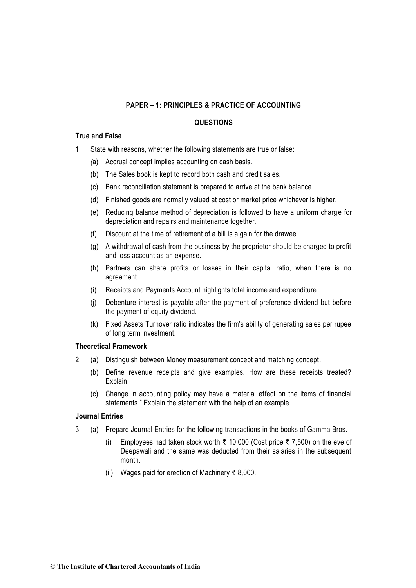## **QUESTIONS**

## **True and False**

- 1. State with reasons, whether the following statements are true or false:
	- *(*a) Accrual concept implies accounting on cash basis.
	- (b) The Sales book is kept to record both cash and credit sales.
	- (c) Bank reconciliation statement is prepared to arrive at the bank balance.
	- (d) Finished goods are normally valued at cost or market price whichever is higher.
	- (e) Reducing balance method of depreciation is followed to have a uniform charge for depreciation and repairs and maintenance together.
	- (f) Discount at the time of retirement of a bill is a gain for the drawee.
	- (g) A withdrawal of cash from the business by the proprietor should be charged to profit and loss account as an expense.
	- (h) Partners can share profits or losses in their capital ratio, when there is no agreement.
	- (i) Receipts and Payments Account highlights total income and expenditure.
	- (j) Debenture interest is payable after the payment of preference dividend but before the payment of equity dividend.
	- (k) Fixed Assets Turnover ratio indicates the firm's ability of generating sales per rupee of long term investment.

#### **Theoretical Framework**

- 2. (a) Distinguish between Money measurement concept and matching concept.
	- (b) Define revenue receipts and give examples. How are these receipts treated? Explain.
	- (c) Change in accounting policy may have a material effect on the items of financial statements." Explain the statement with the help of an example.

### **Journal Entries**

- 3. (a) Prepare Journal Entries for the following transactions in the books of Gamma Bros.
	- (i) Employees had taken stock worth  $\bar{\tau}$  10,000 (Cost price  $\bar{\tau}$  7,500) on the eve of Deepawali and the same was deducted from their salaries in the subsequent month.
	- (ii) Wages paid for erection of Machinery  $\bar{\tau}$  8,000.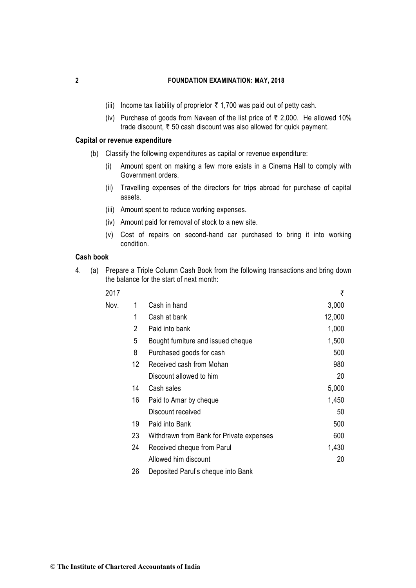- (iii) Income tax liability of proprietor  $\bar{\tau}$  1,700 was paid out of petty cash.
- (iv) Purchase of goods from Naveen of the list price of  $\bar{\tau}$  2,000. He allowed 10% trade discount,  $\bar{\tau}$  50 cash discount was also allowed for quick payment.

#### **Capital or revenue expenditure**

- (b) Classify the following expenditures as capital or revenue expenditure:
	- (i) Amount spent on making a few more exists in a Cinema Hall to comply with Government orders.
	- (ii) Travelling expenses of the directors for trips abroad for purchase of capital assets.
	- (iii) Amount spent to reduce working expenses.
	- (iv) Amount paid for removal of stock to a new site.
	- (v) Cost of repairs on second-hand car purchased to bring it into working condition.

## **Cash book**

4. (a) Prepare a Triple Column Cash Book from the following transactions and bring down the balance for the start of next month:

| 2017 |    |                                          | ₹      |
|------|----|------------------------------------------|--------|
| Nov. | 1  | Cash in hand                             | 3,000  |
|      | 1  | Cash at bank                             | 12,000 |
|      | 2  | Paid into bank                           | 1,000  |
|      | 5  | Bought furniture and issued cheque       | 1,500  |
|      | 8  | Purchased goods for cash                 | 500    |
|      | 12 | Received cash from Mohan                 | 980    |
|      |    | Discount allowed to him                  | 20     |
|      | 14 | Cash sales                               | 5,000  |
|      | 16 | Paid to Amar by cheque                   | 1,450  |
|      |    | Discount received                        | 50     |
|      | 19 | Paid into Bank                           | 500    |
|      | 23 | Withdrawn from Bank for Private expenses | 600    |
|      | 24 | Received cheque from Parul               | 1,430  |
|      |    | Allowed him discount                     | 20     |
|      |    |                                          |        |

26 Deposited Parul's cheque into Bank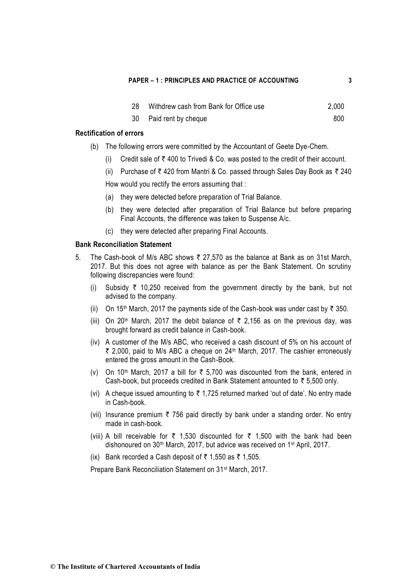| 28 | Withdrew cash from Bank for Office use | 2,000 |
|----|----------------------------------------|-------|
|----|----------------------------------------|-------|

30 Paid rent by cheque 800

#### **Rectification of errors**

- (b) The following errors were committed by the Accountant of Geete Dye-Chem.
	- (i) Credit sale of  $\bar{\tau}$  400 to Trivedi & Co. was posted to the credit of their account.
	- (ii) Purchase of  $\bar{\tau}$  420 from Mantri & Co. passed through Sales Day Book as  $\bar{\tau}$  240

How would you rectify the errors assuming that :

- (a) they were detected before preparation of Trial Balance.
- (b) they were detected after preparation of Trial Balance but before preparing Final Accounts, the difference was taken to Suspense A/c.
- (c) they were detected after preparing Final Accounts.

#### **Bank Reconciliation Statement**

- 5. The Cash-book of M/s ABC shows  $\bar{\tau}$  27,570 as the balance at Bank as on 31st March, 2017. But this does not agree with balance as per the Bank Statement. On scrutiny following discrepancies were found:
	- (i) Subsidy  $\bar{\tau}$  10,250 received from the government directly by the bank, but not advised to the company.
	- (ii) On 15<sup>th</sup> March, 2017 the payments side of the Cash-book was under cast by  $\bar{\tau}$  350.
	- (iii) On 20<sup>th</sup> March, 2017 the debit balance of  $\bar{\tau}$  2,156 as on the previous day, was brought forward as credit balance in Cash-book.
	- (iv) A customer of the M/s ABC, who received a cash discount of 5% on his account of ₹ 2,000, paid to M/s ABC a cheque on 24<sup>th</sup> March, 2017. The cashier erroneously entered the gross amount in the Cash-Book.
	- (v) On 10<sup>th</sup> March, 2017 a bill for  $\bar{\tau}$  5,700 was discounted from the bank, entered in Cash-book, but proceeds credited in Bank Statement amounted to  $\bar{\tau}$  5,500 only.
	- (vi) A cheque issued amounting to  $\bar{\tau}$  1,725 returned marked 'out of date'. No entry made in Cash-book.
	- (vii) Insurance premium  $\bar{\tau}$  756 paid directly by bank under a standing order. No entry made in cash-book.
	- (viii) A bill receivable for  $\bar{\tau}$  1,530 discounted for  $\bar{\tau}$  1,500 with the bank had been dishonoured on 30<sup>th</sup> March, 2017, but advice was received on 1<sup>st</sup> April, 2017.
	- (ix) Bank recorded a Cash deposit of  $\bar{\tau}$  1,550 as  $\bar{\tau}$  1,505.

Prepare Bank Reconciliation Statement on 31st March, 2017.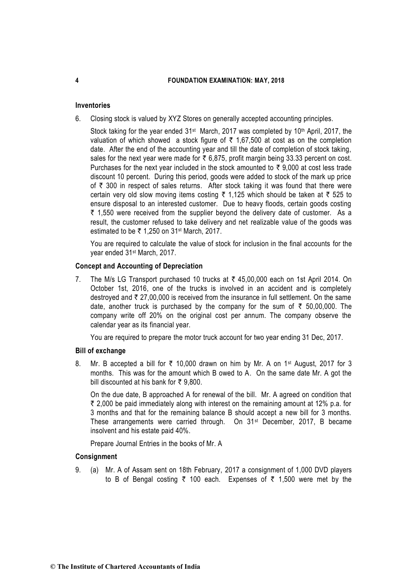### **Inventories**

6. Closing stock is valued by XYZ Stores on generally accepted accounting principles.

Stock taking for the year ended 31<sup>st</sup> March, 2017 was completed by 10<sup>th</sup> April, 2017, the valuation of which showed a stock figure of  $\bar{\tau}$  1,67,500 at cost as on the completion date. After the end of the accounting year and till the date of completion of stock taking, sales for the next year were made for  $\bar{\tau}$  6,875, profit margin being 33.33 percent on cost. Purchases for the next year included in the stock amounted to  $\bar{\tau}$  9,000 at cost less trade discount 10 percent. During this period, goods were added to stock of the mark up price of  $\bar{\tau}$  300 in respect of sales returns. After stock taking it was found that there were certain very old slow moving items costing  $\bar{\tau}$  1,125 which should be taken at  $\bar{\tau}$  525 to ensure disposal to an interested customer. Due to heavy floods, certain goods costing  $\bar{\tau}$  1,550 were received from the supplier beyond the delivery date of customer. As a result, the customer refused to take delivery and net realizable value of the goods was estimated to be  $\overline{\xi}$  1,250 on 31<sup>st</sup> March, 2017.

You are required to calculate the value of stock for inclusion in the final accounts for the year ended 31st March, 2017.

### **Concept and Accounting of Depreciation**

7. The M/s LG Transport purchased 10 trucks at  $\bar{\tau}$  45,00,000 each on 1st April 2014. On October 1st, 2016, one of the trucks is involved in an accident and is completely destroyed and  $\bar{\tau}$  27,00,000 is received from the insurance in full settlement. On the same date, another truck is purchased by the company for the sum of  $\bar{\tau}$  50,00,000. The company write off 20% on the original cost per annum. The company observe the calendar year as its financial year.

You are required to prepare the motor truck account for two year ending 31 Dec, 2017.

#### **Bill of exchange**

8. Mr. B accepted a bill for  $\overline{\zeta}$  10,000 drawn on him by Mr. A on 1<sup>st</sup> August, 2017 for 3 months. This was for the amount which B owed to A. On the same date Mr. A got the bill discounted at his bank for  $\bar{\tau}$  9.800.

On the due date, B approached A for renewal of the bill. Mr. A agreed on condition that  $\bar{\tau}$  2,000 be paid immediately along with interest on the remaining amount at 12% p.a. for 3 months and that for the remaining balance B should accept a new bill for 3 months. These arrangements were carried through. On 31<sup>st</sup> December, 2017, B became insolvent and his estate paid 40%.

Prepare Journal Entries in the books of Mr. A

#### **Consignment**

9. (a) Mr. A of Assam sent on 18th February, 2017 a consignment of 1,000 DVD players to B of Bengal costing  $\bar{\tau}$  100 each. Expenses of  $\bar{\tau}$  1,500 were met by the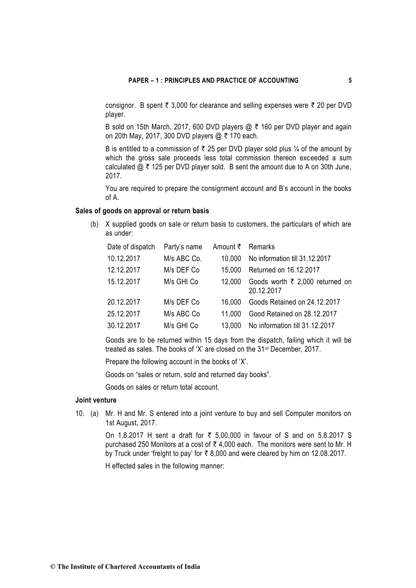consignor. B spent  $\bar{\tau}$  3,000 for clearance and selling expenses were  $\bar{\tau}$  20 per DVD player.

B sold on 15th March, 2017, 600 DVD players  $@ \t{7} 160$  per DVD player and again on 20th May, 2017, 300 DVD players  $@ \bar{\tau}$  170 each.

B is entitled to a commission of  $\bar{\tau}$  25 per DVD player sold plus  $\frac{1}{4}$  of the amount by which the gross sale proceeds less total commission thereon exceeded a sum calculated  $\omega \neq 125$  per DVD player sold. B sent the amount due to A on 30th June, 2017.

You are required to prepare the consignment account and B's account in the books of A.

## **Sales of goods on approval or return basis**

(b) X supplied goods on sale or return basis to customers, the particulars of which are as under:

| Date of dispatch | Party's name | Amount ₹ Remarks |                                               |
|------------------|--------------|------------------|-----------------------------------------------|
| 10.12.2017       | M/s ABC Co.  | 10.000           | No information till 31.12.2017                |
| 12.12.2017       | M/s DEF Co   | 15.000           | Returned on 16.12.2017                        |
| 15.12.2017       | M/s GHI Co   | 12,000           | Goods worth ₹ 2,000 returned on<br>20.12.2017 |
| 20.12.2017       | M/s DEF Co   | 16.000           | Goods Retained on 24.12.2017                  |
| 25.12.2017       | M/s ABC Co   | 11.000           | Good Retained on 28.12.2017                   |
| 30.12.2017       | M/s GHI Co   | 13.000           | No information till 31.12.2017                |

Goods are to be returned within 15 days from the dispatch, failing which it will be treated as sales. The books of 'X' are closed on the 31st December, 2017.

Prepare the following account in the books of 'X'.

Goods on "sales or return, sold and returned day books".

Goods on sales or return total account.

## **Joint venture**

10. (a) Mr. H and Mr. S entered into a joint venture to buy and sell Computer monitors on 1st August, 2017.

> On 1.8.2017 H sent a draft for  $\overline{z}$  5.00.000 in favour of S and on 5.8.2017 S purchased 250 Monitors at a cost of  $\bar{\tau}$  4,000 each. The monitors were sent to Mr. H by Truck under 'freight to pay' for ` 8,000 and were cleared by him on 12.08.2017.

H effected sales in the following manner: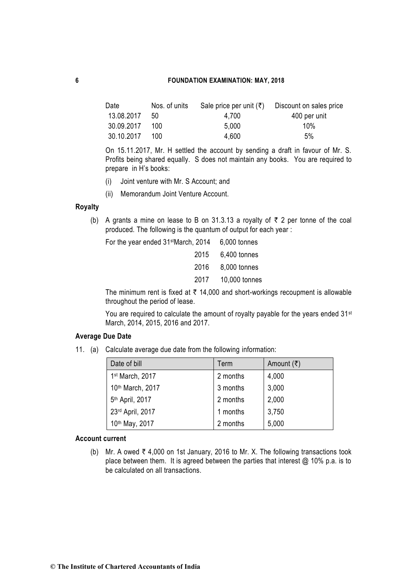| Date       | Nos. of units | Sale price per unit $(\bar{\tau})$ | Discount on sales price |
|------------|---------------|------------------------------------|-------------------------|
| 13.08.2017 | 50            | 4.700                              | 400 per unit            |
| 30.09.2017 | 100           | 5.000                              | 10%                     |
| 30.10.2017 | 100           | 4.600                              | 5%                      |

On 15.11.2017, Mr. H settled the account by sending a draft in favour of Mr. S. Profits being shared equally. S does not maintain any books. You are required to prepare in H's books:

- (i) Joint venture with Mr. S Account; and
- (ii) Memorandum Joint Venture Account.

## **Royalty**

(b) A grants a mine on lease to B on 31.3.13 a royalty of  $\bar{\tau}$  2 per tonne of the coal produced. The following is the quantum of output for each year :

For the year ended 31stMarch, 2014 6,000 tonnes

|  | 2015 6,400 tonnes  |
|--|--------------------|
|  | 2016 8,000 tonnes  |
|  | 2017 10,000 tonnes |

The minimum rent is fixed at  $\bar{\tau}$  14,000 and short-workings recoupment is allowable throughout the period of lease.

You are required to calculate the amount of royalty payable for the years ended 31<sup>st</sup> March, 2014, 2015, 2016 and 2017.

## **Average Due Date**

11. (a) Calculate average due date from the following information:

| Date of bill                | Term     | Amount $(\bar{\tau})$ |
|-----------------------------|----------|-----------------------|
| 1st March, 2017             | 2 months | 4,000                 |
| 10th March, 2017            | 3 months | 3,000                 |
| 5 <sup>th</sup> April, 2017 | 2 months | 2,000                 |
| 23rd April, 2017            | 1 months | 3,750                 |
| 10th May, 2017              | 2 months | 5,000                 |

#### **Account current**

(b) Mr. A owed  $\bar{\tau}$  4,000 on 1st January, 2016 to Mr. X. The following transactions took place between them. It is agreed between the parties that interest @ 10% p.a. is to be calculated on all transactions.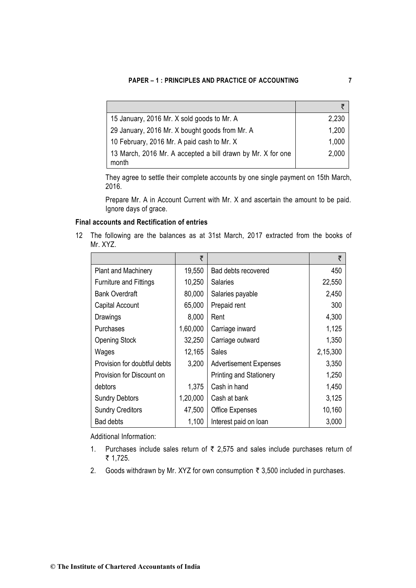| 15 January, 2016 Mr. X sold goods to Mr. A                           | 2,230 |
|----------------------------------------------------------------------|-------|
| 29 January, 2016 Mr. X bought goods from Mr. A                       | 1,200 |
| 10 February, 2016 Mr. A paid cash to Mr. X                           | 1,000 |
| 13 March, 2016 Mr. A accepted a bill drawn by Mr. X for one<br>month | 2,000 |

They agree to settle their complete accounts by one single payment on 15th March, 2016.

Prepare Mr. A in Account Current with Mr. X and ascertain the amount to be paid. Ignore days of grace.

## **Final accounts and Rectification of entries**

12 The following are the balances as at 31st March, 2017 extracted from the books of Mr. XYZ.

|                               | ₹        |                                | ₹        |
|-------------------------------|----------|--------------------------------|----------|
| <b>Plant and Machinery</b>    | 19,550   | Bad debts recovered            | 450      |
| <b>Furniture and Fittings</b> | 10,250   | <b>Salaries</b>                | 22,550   |
| <b>Bank Overdraft</b>         | 80,000   | Salaries payable               | 2,450    |
| Capital Account               | 65,000   | Prepaid rent                   | 300      |
| Drawings                      | 8,000    | Rent                           | 4,300    |
| <b>Purchases</b>              | 1,60,000 | Carriage inward                | 1,125    |
| <b>Opening Stock</b>          | 32,250   | Carriage outward               | 1,350    |
| Wages                         | 12,165   | Sales                          | 2,15,300 |
| Provision for doubtful debts  | 3,200    | <b>Advertisement Expenses</b>  | 3,350    |
| Provision for Discount on     |          | <b>Printing and Stationery</b> | 1,250    |
| debtors                       | 1,375    | Cash in hand                   | 1,450    |
| <b>Sundry Debtors</b>         | 1,20,000 | Cash at bank                   | 3,125    |
| <b>Sundry Creditors</b>       | 47,500   | Office Expenses                | 10,160   |
| <b>Bad debts</b>              | 1,100    | Interest paid on loan          | 3,000    |

Additional Information:

- 1. Purchases include sales return of  $\bar{\tau}$  2,575 and sales include purchases return of ₹ 1,725.
- 2. Goods withdrawn by Mr. XYZ for own consumption  $\bar{\tau}$  3,500 included in purchases.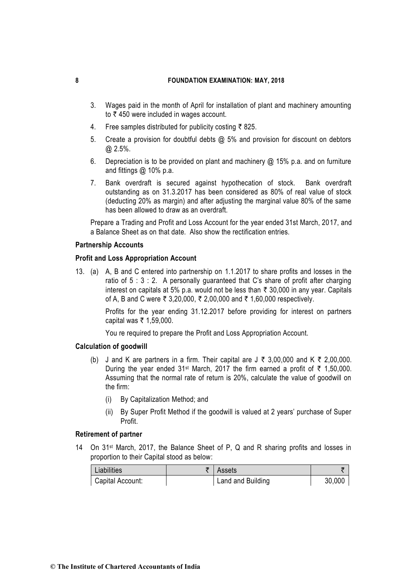- 3. Wages paid in the month of April for installation of plant and machinery amounting to  $\bar{\tau}$  450 were included in wages account.
- 4. Free samples distributed for publicity costing  $\bar{\tau}$  825.
- 5. Create a provision for doubtful debts @ 5% and provision for discount on debtors @ 2.5%.
- 6. Depreciation is to be provided on plant and machinery  $@$  15% p.a. and on furniture and fittings @ 10% p.a.
- 7. Bank overdraft is secured against hypothecation of stock. Bank overdraft outstanding as on 31.3.2017 has been considered as 80% of real value of stock (deducting 20% as margin) and after adjusting the marginal value 80% of the same has been allowed to draw as an overdraft.

Prepare a Trading and Profit and Loss Account for the year ended 31st March, 2017, and a Balance Sheet as on that date. Also show the rectification entries.

#### **Partnership Accounts**

#### **Profit and Loss Appropriation Account**

13. (a) A, B and C entered into partnership on 1.1.2017 to share profits and losses in the ratio of  $5:3:2$ . A personally guaranteed that C's share of profit after charging interest on capitals at 5% p.a. would not be less than  $\bar{\tau}$  30,000 in any year. Capitals of A, B and C were ₹ 3,20,000, ₹ 2,00,000 and ₹ 1,60,000 respectively.

> Profits for the year ending 31.12.2017 before providing for interest on partners capital was ₹ 1,59,000.

You re required to prepare the Profit and Loss Appropriation Account.

#### **Calculation of goodwill**

- (b) J and K are partners in a firm. Their capital are  $J \bar{z}$  3,00,000 and K  $\bar{z}$  2,00,000. During the year ended 31<sup>st</sup> March, 2017 the firm earned a profit of  $\bar{\tau}$  1,50,000. Assuming that the normal rate of return is 20%, calculate the value of goodwill on the firm:
	- (i) By Capitalization Method; and
	- (ii) By Super Profit Method if the goodwill is valued at 2 years' purchase of Super Profit.

#### **Retirement of partner**

14 On 31st March, 2017, the Balance Sheet of P, Q and R sharing profits and losses in proportion to their Capital stood as below:

| Liabilities      | Assets            |        |
|------------------|-------------------|--------|
| Capital Account: | Land and Building | 30,000 |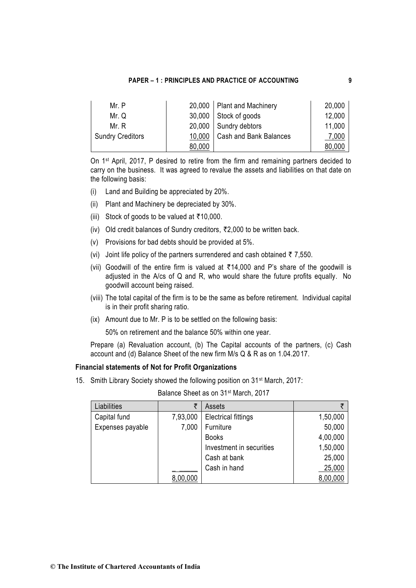| Mr. P                   |        | 20,000   Plant and Machinery  | 20,000 |
|-------------------------|--------|-------------------------------|--------|
| Mr. Q                   |        | $30,000$ Stock of goods       | 12,000 |
| Mr. R                   |        | 20,000   Sundry debtors       | 11,000 |
| <b>Sundry Creditors</b> | 10,000 | <b>Cash and Bank Balances</b> | 7,000  |
|                         | 80,000 |                               | 80,000 |

On 1st April, 2017, P desired to retire from the firm and remaining partners decided to carry on the business. It was agreed to revalue the assets and liabilities on that date on the following basis:

- (i) Land and Building be appreciated by 20%.
- (ii) Plant and Machinery be depreciated by 30%.
- (iii) Stock of goods to be valued at  $\overline{\tau}$ 10,000.
- (iv) Old credit balances of Sundry creditors,  $\overline{22,000}$  to be written back.
- (v) Provisions for bad debts should be provided at 5%.
- (vi) Joint life policy of the partners surrendered and cash obtained  $\bar{\tau}$  7,550.
- (vii) Goodwill of the entire firm is valued at  $\overline{5}14,000$  and P's share of the goodwill is adjusted in the A/cs of Q and R, who would share the future profits equally. No goodwill account being raised.
- (viii) The total capital of the firm is to be the same as before retirement. Individual capital is in their profit sharing ratio.
- (ix) Amount due to Mr. P is to be settled on the following basis:

50% on retirement and the balance 50% within one year.

Prepare (a) Revaluation account, (b) The Capital accounts of the partners, (c) Cash account and (d) Balance Sheet of the new firm M/s Q & R as on 1.04.2017.

### **Financial statements of Not for Profit Organizations**

15. Smith Library Society showed the following position on 31st March, 2017:

| Balance Sheet as on 31 <sup>st</sup> March, 2017 |  |
|--------------------------------------------------|--|
|--------------------------------------------------|--|

| Liabilities      | ₹        | Assets                     |          |
|------------------|----------|----------------------------|----------|
| Capital fund     | 7,93,000 | <b>Electrical fittings</b> | 1,50,000 |
| Expenses payable | 7,000    | Furniture                  | 50,000   |
|                  |          | <b>Books</b>               | 4,00,000 |
|                  |          | Investment in securities   | 1,50,000 |
|                  |          | Cash at bank               | 25,000   |
|                  |          | Cash in hand               | 25,000   |
|                  | 8,00,000 |                            | 8,00,000 |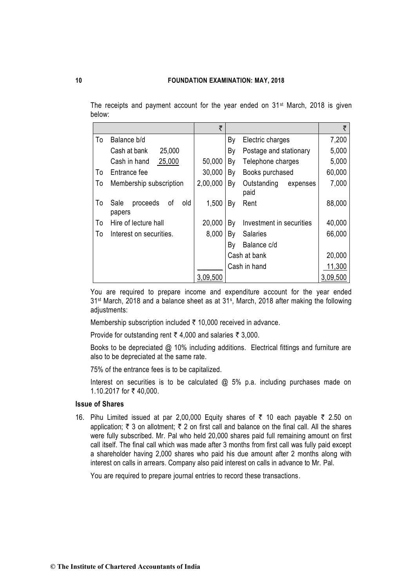The receipts and payment account for the year ended on 31<sup>st</sup> March, 2018 is given below:

|    |                                         | ₹        |    |                                 | ₹        |
|----|-----------------------------------------|----------|----|---------------------------------|----------|
| To | Balance b/d                             |          | By | Electric charges                | 7,200    |
|    | 25,000<br>Cash at bank                  |          | By | Postage and stationary          | 5,000    |
|    | 25,000<br>Cash in hand                  | 50,000   | By | Telephone charges               | 5,000    |
| To | Entrance fee                            | 30,000   | By | Books purchased                 | 60,000   |
| To | Membership subscription                 | 2,00,000 | By | Outstanding<br>expenses<br>paid | 7,000    |
| To | proceeds<br>old<br>Sale<br>οf<br>papers | 1,500    | Bγ | Rent                            | 88,000   |
| To | Hire of lecture hall                    | 20,000   | By | Investment in securities        | 40,000   |
| To | Interest on securities.                 | 8,000    | Bγ | <b>Salaries</b>                 | 66,000   |
|    |                                         |          | By | Balance c/d                     |          |
|    |                                         |          |    | Cash at bank                    | 20,000   |
|    |                                         |          |    | Cash in hand                    | 11,300   |
|    |                                         | 3,09,500 |    |                                 | 3,09,500 |

You are required to prepare income and expenditure account for the year ended 31st March, 2018 and a balance sheet as at 31<sup>s</sup> , March, 2018 after making the following adjustments:

Membership subscription included  $\bar{\tau}$  10,000 received in advance.

Provide for outstanding rent  $\bar{\tau}$  4,000 and salaries  $\bar{\tau}$  3,000.

Books to be depreciated @ 10% including additions. Electrical fittings and furniture are also to be depreciated at the same rate.

75% of the entrance fees is to be capitalized.

Interest on securities is to be calculated @ 5% p.a. including purchases made on 1.10.2017 for ₹40,000.

#### **Issue of Shares**

16. Pihu Limited issued at par 2,00,000 Equity shares of  $\bar{\tau}$  10 each payable  $\bar{\tau}$  2.50 on application;  $\bar{\tau}$  3 on allotment;  $\bar{\tau}$  2 on first call and balance on the final call. All the shares were fully subscribed. Mr. Pal who held 20,000 shares paid full remaining amount on first call itself. The final call which was made after 3 months from first call was fully paid except a shareholder having 2,000 shares who paid his due amount after 2 months along with interest on calls in arrears. Company also paid interest on calls in advance to Mr. Pal.

You are required to prepare journal entries to record these transactions*.*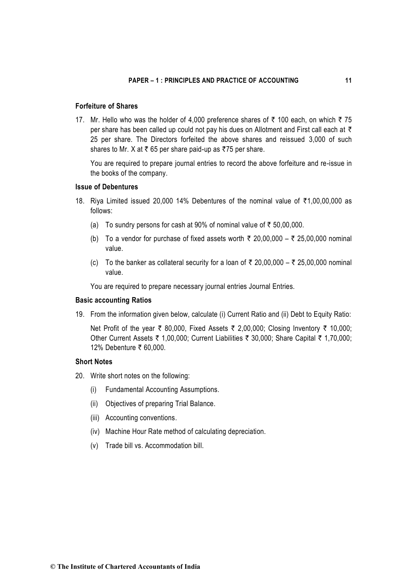### **Forfeiture of Shares**

17. Mr. Hello who was the holder of 4,000 preference shares of  $\bar{\tau}$  100 each, on which  $\bar{\tau}$  75 per share has been called up could not pay his dues on Allotment and First call each at  $\bar{\tau}$ 25 per share. The Directors forfeited the above shares and reissued 3,000 of such shares to Mr. X at  $\bar{\tau}$  65 per share paid-up as  $\bar{\tau}$ 75 per share.

You are required to prepare journal entries to record the above forfeiture and re-issue in the books of the company.

## **Issue of Debentures**

- 18. Riya Limited issued 20,000 14% Debentures of the nominal value of  $\overline{51,00,00,000}$  as follows:
	- (a) To sundry persons for cash at 90% of nominal value of  $\bar{\tau}$  50,00,000.
	- (b) To a vendor for purchase of fixed assets worth  $\bar{\tau}$  20,00,000  $\bar{\tau}$  25,00,000 nominal value.
	- (c) To the banker as collateral security for a loan of  $\overline{\tau}$  20,00,000  $\overline{\tau}$  25,00,000 nominal value.

You are required to prepare necessary journal entries Journal Entries.

#### **Basic accounting Ratios**

19. From the information given below, calculate (i) Current Ratio and (ii) Debt to Equity Ratio:

Net Profit of the year  $\bar{\tau}$  80,000, Fixed Assets  $\bar{\tau}$  2,00,000; Closing Inventory  $\bar{\tau}$  10,000; Other Current Assets  $\bar{\tau}$  1,00,000; Current Liabilities  $\bar{\tau}$  30,000; Share Capital  $\bar{\tau}$  1,70,000; 12% Debenture ₹ 60,000.

## **Short Notes**

- 20. Write short notes on the following:
	- (i) Fundamental Accounting Assumptions.
	- (ii) Objectives of preparing Trial Balance.
	- (iii) Accounting conventions.
	- (iv) Machine Hour Rate method of calculating depreciation.
	- (v) Trade bill vs. Accommodation bill.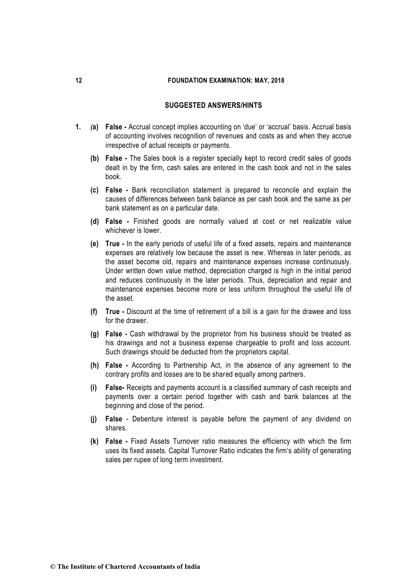## **SUGGESTED ANSWERS/HINTS**

- **1.** *(***a) False -** Accrual concept implies accounting on 'due' or 'accrual' basis. Accrual basis of accounting involves recognition of revenues and costs as and when they accrue irrespective of actual receipts or payments.
	- **(b) False -** The Sales book is a register specially kept to record credit sales of goods dealt in by the firm, cash sales are entered in the cash book and not in the sales book.
	- **(c) False -** Bank reconciliation statement is prepared to reconcile and explain the causes of differences between bank balance as per cash book and the same as per bank statement as on a particular date.
	- **(d) False -** Finished goods are normally valued at cost or net realizable value whichever is lower.
	- **(e) True -** In the early periods of useful life of a fixed assets, repairs and maintenance expenses are relatively low because the asset is new. Whereas in later periods, as the asset become old, repairs and maintenance expenses increase continuously. Under written down value method, depreciation charged is high in the initial period and reduces continuously in the later periods. Thus, depreciation and repair and maintenance expenses become more or less uniform throughout the useful life of the asset.
	- **(f) True -** Discount at the time of retirement of a bill is a gain for the drawee and loss for the drawer.
	- **(g) False -** Cash withdrawal by the proprietor from his business should be treated as his drawings and not a business expense chargeable to profit and loss account. Such drawings should be deducted from the proprietors capital.
	- **(h) False -** According to Partnership Act, in the absence of any agreement to the contrary profits and losses are to be shared equally among partners.
	- **(i) False-** Receipts and payments account is a classified summary of cash receipts and payments over a certain period together with cash and bank balances at the beginning and close of the period.
	- **(j) False**  Debenture interest is payable before the payment of any dividend on shares.
	- **(k) False -** Fixed Assets Turnover ratio measures the efficiency with which the firm uses its fixed assets. Capital Turnover Ratio indicates the firm's ability of generating sales per rupee of long term investment.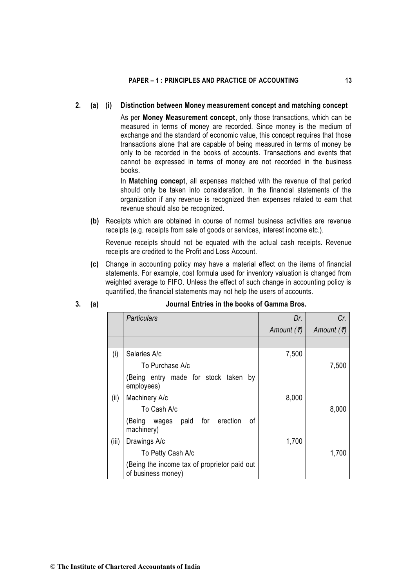#### **2. (a) (i) Distinction between Money measurement concept and matching concept**

As per **Money Measurement concept**, only those transactions, which can be measured in terms of money are recorded. Since money is the medium of exchange and the standard of economic value, this concept requires that those transactions alone that are capable of being measured in terms of money be only to be recorded in the books of accounts. Transactions and events that cannot be expressed in terms of money are not recorded in the business books.

In **Matching concept**, all expenses matched with the revenue of that period should only be taken into consideration. In the financial statements of the organization if any revenue is recognized then expenses related to earn that revenue should also be recognized.

**(b)** Receipts which are obtained in course of normal business activities are revenue receipts (e.g. receipts from sale of goods or services, interest income etc.).

Revenue receipts should not be equated with the actual cash receipts. Revenue receipts are credited to the Profit and Loss Account.

**(c)** Change in accounting policy may have a material effect on the items of financial statements. For example, cost formula used for inventory valuation is changed from weighted average to FIFO. Unless the effect of such change in accounting policy is quantified, the financial statements may not help the users of accounts.

|       | <b>Particulars</b>                                                 | Dr.                   | Cr.                   |
|-------|--------------------------------------------------------------------|-----------------------|-----------------------|
|       |                                                                    | Amount $(\vec{\tau})$ | Amount $(\vec{\tau})$ |
|       |                                                                    |                       |                       |
| (i)   | Salaries A/c                                                       | 7,500                 |                       |
|       | To Purchase A/c                                                    |                       | 7,500                 |
|       | (Being entry made for stock taken by<br>employees)                 |                       |                       |
| (ii)  | Machinery A/c                                                      | 8,000                 |                       |
|       | To Cash A/c                                                        |                       | 8,000                 |
|       | paid for erection<br>οf<br>(Being:<br>wages<br>machinery)          |                       |                       |
| (iii) | Drawings A/c                                                       | 1,700                 |                       |
|       | To Petty Cash A/c                                                  |                       | 1,700                 |
|       | (Being the income tax of proprietor paid out<br>of business money) |                       |                       |

## **3. (a) Journal Entries in the books of Gamma Bros.**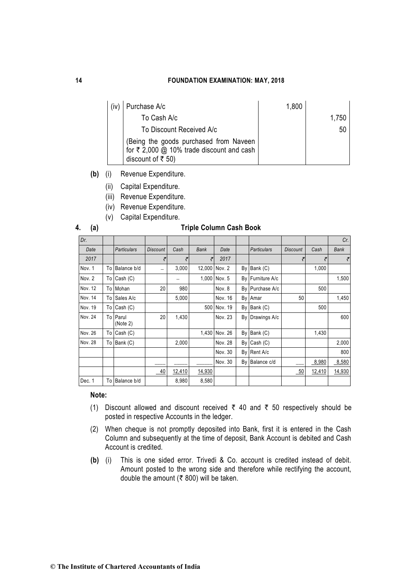| Purchase A/c                                                                                                                   | 1,800 |       |
|--------------------------------------------------------------------------------------------------------------------------------|-------|-------|
| To Cash A/c                                                                                                                    |       | 1,750 |
| To Discount Received A/c                                                                                                       |       | 50    |
| (Being the goods purchased from Naveen<br>for $\bar{\tau}$ 2,000 @ 10% trade discount and cash<br>discount of $\bar{\tau}$ 50) |       |       |

- **(b)** (i) Revenue Expenditure.
	- (ii) Capital Expenditure.
	- (iii) Revenue Expenditure.
	- (iv) Revenue Expenditure.
	- (v) Capital Expenditure.

#### **4. (a) Triple Column Cash Book**

| Dr.     |                      |                          |        |             |               |    |                    |                 |        | Cr.         |
|---------|----------------------|--------------------------|--------|-------------|---------------|----|--------------------|-----------------|--------|-------------|
| Date    | Particulars          | <b>Discount</b>          | Cash   | <b>Bank</b> | Date          |    | <b>Particulars</b> | <b>Discount</b> | Cash   | <b>Bank</b> |
| 2017    |                      | ₹                        |        | ₹           | 2017          |    |                    | ₹               |        | ₹           |
| Nov. 1  | To Balance b/d       | $\overline{\phantom{0}}$ | 3,000  |             | 12,000 Nov. 2 |    | $By$ Bank $(C)$    |                 | 1,000  |             |
| Nov. 2  | $To$ Cash $(C)$      |                          |        |             | 1,000 Nov. 5  |    | By Furniture A/c   |                 |        | 1,500       |
| Nov. 12 | To Mohan             | 20                       | 980    |             | Nov. 8        |    | By Purchase A/c    |                 | 500    |             |
| Nov. 14 | To Sales A/c         |                          | 5,000  |             | Nov. 16       |    | By Amar            | 50              |        | 1,450       |
| Nov. 19 | To Cash (C)          |                          |        |             | 500 Nov. 19   |    | $By$ Bank $(C)$    |                 | 500    |             |
| Nov. 24 | To Parul<br>(Note 2) | 20                       | 1,430  |             | Nov. 23       |    | By Drawings A/c    |                 |        | 600         |
| Nov. 26 | To $Cash (C)$        |                          |        |             | 1,430 Nov. 26 |    | By Bank (C)        |                 | 1,430  |             |
| Nov. 28 | To Bank (C)          |                          | 2,000  |             | Nov. 28       | By | Cash (C)           |                 |        | 2,000       |
|         |                      |                          |        |             | Nov. 30       |    | By Rent A/c        |                 |        | 800         |
|         |                      |                          |        |             | Nov. 30       |    | By Balance c/d     |                 | 8,980  | 8,580       |
|         |                      | 40                       | 12,410 | 14,930      |               |    |                    | 50              | 12,410 | 14,930      |
| Dec. 1  | To Balance b/d       |                          | 8,980  | 8,580       |               |    |                    |                 |        |             |

#### **Note:**

- (1) Discount allowed and discount received  $\bar{\tau}$  40 and  $\bar{\tau}$  50 respectively should be posted in respective Accounts in the ledger.
- (2) When cheque is not promptly deposited into Bank, first it is entered in the Cash Column and subsequently at the time of deposit, Bank Account is debited and Cash Account is credited.
- **(b)** (i) This is one sided error. Trivedi & Co. account is credited instead of debit. Amount posted to the wrong side and therefore while rectifying the account, double the amount ( $\bar{\bar{\xi}}$  800) will be taken.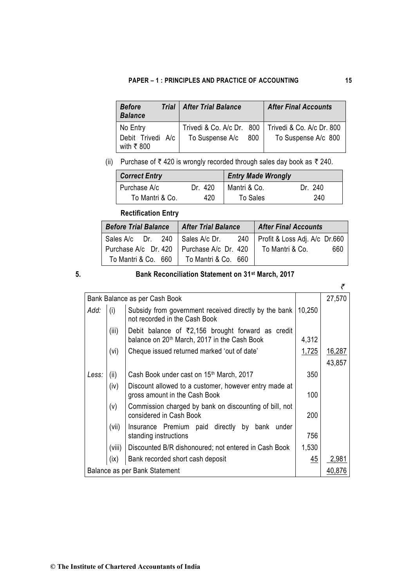| <b>Before</b><br><b>Balance</b> | <b>Trial   After Trial Balance</b> | <b>After Final Accounts</b> |
|---------------------------------|------------------------------------|-----------------------------|
| No Entry                        | Trivedi & Co. A/c Dr. 800          | Trivedi & Co. A/c Dr. 800   |
| Debit Trivedi A/c<br>with ₹800  | To Suspense A/c<br>800             | To Suspense A/c 800         |

(ii) Purchase of  $\bar{\tau}$  420 is wrongly recorded through sales day book as  $\bar{\tau}$  240.

| <b>Correct Entry</b> |         | <b>Entry Made Wrongly</b> |         |  |
|----------------------|---------|---------------------------|---------|--|
| Purchase A/c         | Dr. 420 | Mantri & Co.              | Dr. 240 |  |
| To Mantri & Co.      | 420     | To Sales                  | 240     |  |

## **Rectification Entry**

| <b>Before Trial Balance</b>       | <b>After Trial Balance</b> | <b>After Final Accounts</b>         |  |  |
|-----------------------------------|----------------------------|-------------------------------------|--|--|
| Sales A/c Dr. 240   Sales A/c Dr. |                            | 240   Profit & Loss Adj. A/c Dr.660 |  |  |
| Purchase A/c Dr. 420              | Purchase A/c Dr. 420       | To Mantri & Co.<br>660              |  |  |
| To Mantri & Co. 660               | To Mantri & Co. 660        |                                     |  |  |

## **5. Bank Reconciliation Statement on 31st March, 2017**

|                               |        | Bank Balance as per Cash Book                                                                                 |        | 27,570        |
|-------------------------------|--------|---------------------------------------------------------------------------------------------------------------|--------|---------------|
| Add:                          | (i)    | Subsidy from government received directly by the bank<br>not recorded in the Cash Book                        | 10,250 |               |
|                               | (iii)  | Debit balance of ₹2,156 brought forward as credit<br>balance on 20 <sup>th</sup> March, 2017 in the Cash Book | 4,312  |               |
|                               | (vi)   | Cheque issued returned marked 'out of date'                                                                   | 1,725  | <u>16,287</u> |
|                               |        |                                                                                                               |        | 43,857        |
| Less:                         | (ii)   | Cash Book under cast on 15 <sup>th</sup> March, 2017                                                          | 350    |               |
|                               | (iv)   | Discount allowed to a customer, however entry made at<br>gross amount in the Cash Book                        | 100    |               |
|                               | (v)    | Commission charged by bank on discounting of bill, not<br>considered in Cash Book                             | 200    |               |
|                               | (vii)  | Insurance Premium paid directly by bank<br>under<br>standing instructions                                     | 756    |               |
|                               | (viii) | Discounted B/R dishonoured; not entered in Cash Book                                                          | 1,530  |               |
|                               | (ix)   | Bank recorded short cash deposit                                                                              | 45     | 2,981         |
| Balance as per Bank Statement |        | 40.876                                                                                                        |        |               |

 $\overline{f}$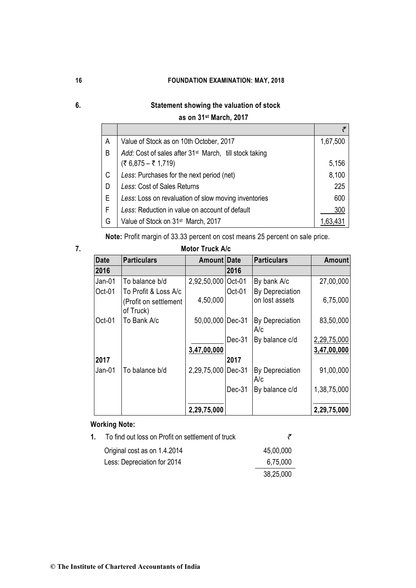## **6. Statement showing the valuation of stock**

## **as on 31st March, 2017**

| A | Value of Stock as on 10th October, 2017                            | 1,67,500 |
|---|--------------------------------------------------------------------|----------|
| B | Add: Cost of sales after 31 <sup>st</sup> March, till stock taking |          |
|   | (₹ 6,875 – ₹ 1,719)                                                | 5,156    |
| C | Less: Purchases for the next period (net)                          | 8,100    |
| D | Less: Cost of Sales Returns                                        | 225      |
| E | Less: Loss on revaluation of slow moving inventories               | 600      |
| F | Less: Reduction in value on account of default                     | 300      |
| G | Value of Stock on 31 <sup>st</sup> March, 2017                     |          |

**Note:** Profit margin of 33.33 percent on cost means 25 percent on sale price.

## **7. Motor Truck A/c**

| <b>Date</b> | <b>Particulars</b>                 | Amount Date |        | <b>Particulars</b>     | Amount      |
|-------------|------------------------------------|-------------|--------|------------------------|-------------|
| 2016        |                                    |             | 2016   |                        |             |
| Jan-01      | To balance b/d                     | 2,92,50,000 | Oct-01 | By bank A/c            | 27,00,000   |
| Oct-01      | To Profit & Loss A/c               |             | Oct-01 | By Depreciation        |             |
|             | (Profit on settlement<br>of Truck) | 4,50,000    |        | on lost assets         | 6,75,000    |
| Oct-01      | To Bank A/c                        | 50,00,000   | Dec-31 | By Depreciation<br>A/c | 83,50,000   |
|             |                                    |             | Dec-31 | By balance c/d         | 2,29,75,000 |
|             |                                    | 3,47,00,000 |        |                        | 3,47,00,000 |
| 2017        |                                    |             | 2017   |                        |             |
| Jan-01      | To balance b/d                     | 2,29,75,000 | Dec-31 | By Depreciation<br>A/c | 91,00,000   |
|             |                                    |             | Dec-31 | By balance c/d         | 1,38,75,000 |
|             |                                    | 2,29,75,000 |        |                        | 2,29,75,000 |

## **Working Note:**

| 1. | To find out loss on Profit on settlement of truck |           |
|----|---------------------------------------------------|-----------|
|    | Original cost as on 1.4.2014                      | 45,00,000 |
|    | Less: Depreciation for 2014                       | 6,75,000  |
|    |                                                   | 38,25,000 |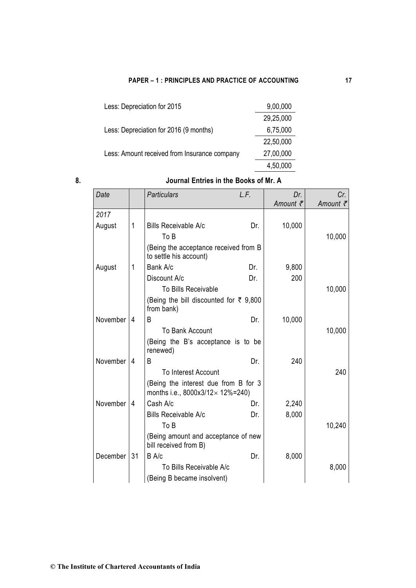| Less: Depreciation for 2015                  | 9,00,000  |
|----------------------------------------------|-----------|
|                                              | 29,25,000 |
| Less: Depreciation for 2016 (9 months)       | 6,75,000  |
|                                              | 22,50,000 |
| Less: Amount received from Insurance company | 27,00,000 |
|                                              | 4,50,000  |

## **8. Journal Entries in the Books of Mr. A**

| Date     |                | <b>Particulars</b>                                                                 | L.F. | Dr.                 | Cr.      |
|----------|----------------|------------------------------------------------------------------------------------|------|---------------------|----------|
|          |                |                                                                                    |      | Amount $\bar{\tau}$ | Amount ₹ |
| 2017     |                |                                                                                    |      |                     |          |
| August   | 1              | <b>Bills Receivable A/c</b>                                                        | Dr.  | 10,000              |          |
|          |                | To B                                                                               |      |                     | 10,000   |
|          |                | (Being the acceptance received from B<br>to settle his account)                    |      |                     |          |
| August   | 1              | Bank A/c                                                                           | Dr.  | 9,800               |          |
|          |                | Discount A/c                                                                       | Dr.  | 200                 |          |
|          |                | To Bills Receivable                                                                |      |                     | 10,000   |
|          |                | (Being the bill discounted for ₹ 9,800<br>from bank)                               |      |                     |          |
| November | 4              | B                                                                                  | Dr.  | 10,000              |          |
|          |                | To Bank Account                                                                    |      |                     | 10,000   |
|          |                | (Being the B's acceptance is to be<br>renewed)                                     |      |                     |          |
| November | $\overline{4}$ | B                                                                                  | Dr.  | 240                 |          |
|          |                | <b>To Interest Account</b>                                                         |      |                     | 240      |
|          |                | (Being the interest due from B for 3<br>months i.e., $8000x3/12 \times 12\% = 240$ |      |                     |          |
| November | 4              | Cash A/c                                                                           | Dr.  | 2,240               |          |
|          |                | <b>Bills Receivable A/c</b>                                                        | Dr.  | 8,000               |          |
|          |                | To B                                                                               |      |                     | 10,240   |
|          |                | (Being amount and acceptance of new<br>bill received from B)                       |      |                     |          |
| December | 31             | B A/c                                                                              | Dr.  | 8,000               |          |
|          |                | To Bills Receivable A/c                                                            |      |                     | 8,000    |
|          |                | (Being B became insolvent)                                                         |      |                     |          |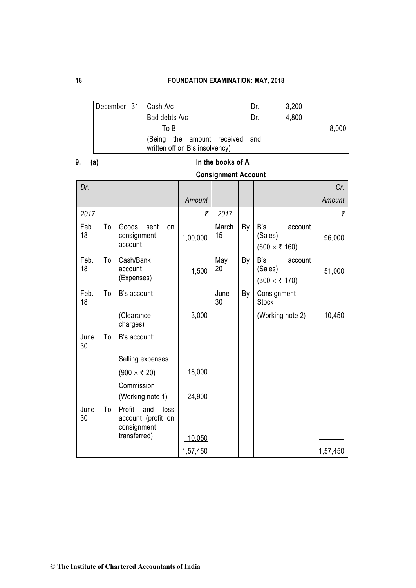| December 31   Cash A/c |                                                                  | Dr. | 3,200 |       |
|------------------------|------------------------------------------------------------------|-----|-------|-------|
|                        | Bad debts A/c                                                    | Dr. | 4,800 |       |
|                        | To B                                                             |     |       | 8,000 |
|                        | (Being the amount received and<br>written off on B's insolvency) |     |       |       |

# **9. (a) In the books of A**

## **Consignment Account**

| Dr.        |    |                                                            |          |             |    |                                                            | Cr.      |
|------------|----|------------------------------------------------------------|----------|-------------|----|------------------------------------------------------------|----------|
|            |    |                                                            | Amount   |             |    |                                                            | Amount   |
| 2017       |    |                                                            | ₹        | 2017        |    |                                                            | ₹        |
| Feb.<br>18 | To | Goods<br>sent<br>on<br>consignment<br>account              | 1,00,000 | March<br>15 | By | B's<br>account<br>(Sales)<br>$(600 \times \bar{\tau} 160)$ | 96,000   |
| Feb.<br>18 | To | Cash/Bank<br>account<br>(Expenses)                         | 1,500    | May<br>20   | By | B's<br>account<br>(Sales)<br>$(300 \times ₹ 170)$          | 51,000   |
| Feb.<br>18 | To | B's account                                                |          | June<br>30  | By | Consignment<br><b>Stock</b>                                |          |
|            |    | (Clearance<br>charges)                                     | 3,000    |             |    | (Working note 2)                                           | 10,450   |
| June<br>30 | To | B's account:                                               |          |             |    |                                                            |          |
|            |    | Selling expenses                                           |          |             |    |                                                            |          |
|            |    | $(900 \times \bar{\tau} 20)$                               | 18,000   |             |    |                                                            |          |
|            |    | Commission                                                 |          |             |    |                                                            |          |
|            |    | (Working note 1)                                           | 24,900   |             |    |                                                            |          |
| June<br>30 | To | Profit<br>and<br>loss<br>account (profit on<br>consignment |          |             |    |                                                            |          |
|            |    | transferred)                                               | 10,050   |             |    |                                                            |          |
|            |    |                                                            | 1,57,450 |             |    |                                                            | 1,57,450 |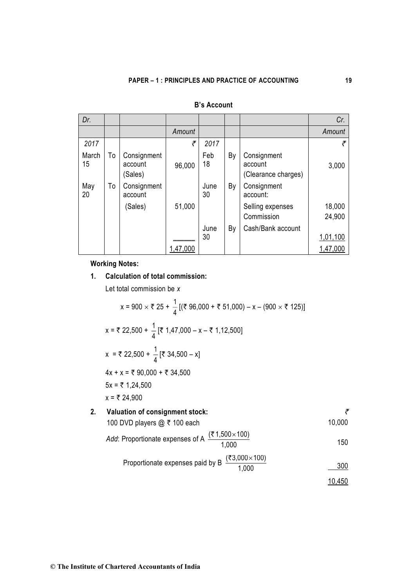| Dr.         |    |                                   |          |            |    |                                               | Cr.              |
|-------------|----|-----------------------------------|----------|------------|----|-----------------------------------------------|------------------|
|             |    |                                   | Amount   |            |    |                                               | Amount           |
| 2017        |    |                                   | ₹        | 2017       |    |                                               |                  |
| March<br>15 | To | Consignment<br>account<br>(Sales) | 96,000   | Feb<br>18  | By | Consignment<br>account<br>(Clearance charges) | 3,000            |
| May<br>20   | То | Consignment<br>account            |          | June<br>30 | By | Consignment<br>account:                       |                  |
|             |    | (Sales)                           | 51,000   |            |    | Selling expenses<br>Commission                | 18,000<br>24,900 |
|             |    |                                   |          | June       | By | Cash/Bank account                             |                  |
|             |    |                                   |          | 30         |    |                                               | 1,01,100         |
|             |    |                                   | 1,47,000 |            |    |                                               | 1,47,000         |

## **B's Account**

**Working Notes:** 

## **1. Calculation of total commission:**

Let total commission be *x*

$$
x = 900 \times \overline{z} \cdot 25 + \frac{1}{4} [(\overline{z} \cdot 96,000 + \overline{z} \cdot 51,000) - x - (900 \times \overline{z} \cdot 125)]
$$
  
\n
$$
x = \overline{z} \cdot 22,500 + \frac{1}{4} [\overline{z} \cdot 1,47,000 - x - \overline{z} \cdot 1,12,500]
$$
  
\n
$$
x = \overline{z} \cdot 22,500 + \frac{1}{4} [\overline{z} \cdot 34,500 - x]
$$
  
\n
$$
4x + x = \overline{z} \cdot 90,000 + \overline{z} \cdot 34,500
$$
  
\n
$$
5x = \overline{z} \cdot 1,24,500
$$
  
\n2. Valuation of consignment stock:  
\n
$$
100 \text{ DVD players} @ \overline{z} \cdot 100 \text{ each}
$$
  
\n
$$
Add: Proportionate expenses of A \frac{(\overline{z} \cdot 1,500 \times 100)}{1,000}
$$
  
\n
$$
Add: Proportionate expenses paid by B \frac{(\overline{z} \cdot 3,000 \times 100)}{1,000}
$$
  
\n
$$
10,450
$$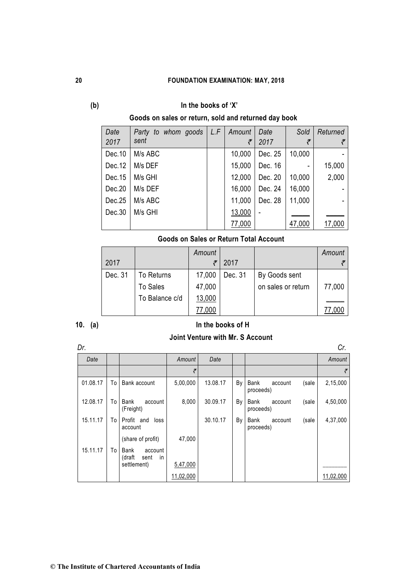## **(b) In the books of 'X'**

## **Goods on sales or return, sold and returned day book**

| Date    | to whom goods<br>Party | L.F | Amount | Date    | Sold   | Returned |
|---------|------------------------|-----|--------|---------|--------|----------|
| 2017    | sent                   |     | ₹      | 2017    | ₹      |          |
| Dec. 10 | M/s ABC                |     | 10,000 | Dec. 25 | 10,000 |          |
| Dec.12  | M/s DEF                |     | 15,000 | Dec. 16 | ۰      | 15,000   |
| Dec.15  | M/s GHI                |     | 12,000 | Dec. 20 | 10,000 | 2,000    |
| Dec.20  | M/s DEF                |     | 16,000 | Dec. 24 | 16,000 |          |
| Dec.25  | M/s ABC                |     | 11,000 | Dec. 28 | 11,000 |          |
| Dec.30  | M/s GHI                |     | 13,000 |         |        |          |
|         |                        |     | 77,000 |         | 47,000 | 17,000   |

## **Goods on Sales or Return Total Account**

|         |                 | Amount |         |                    | Amount |
|---------|-----------------|--------|---------|--------------------|--------|
| 2017    |                 |        | 2017    |                    |        |
| Dec. 31 | To Returns      | 17,000 | Dec. 31 | By Goods sent      |        |
|         | <b>To Sales</b> | 47,000 |         | on sales or return | 77,000 |
|         | To Balance c/d  | 13,000 |         |                    |        |
|         |                 | 77,000 |         |                    |        |

## **10. (a) In the books of H**

## **Joint Venture with Mr. S Account**

| Dr.      |    |                                         |           |          |    |                              |       | Cr.       |
|----------|----|-----------------------------------------|-----------|----------|----|------------------------------|-------|-----------|
| Date     |    |                                         | Amount    | Date     |    |                              |       | Amount    |
|          |    |                                         | ₹         |          |    |                              |       | ₹         |
| 01.08.17 | To | Bank account                            | 5,00,000  | 13.08.17 | By | Bank<br>account<br>proceeds) | (sale | 2,15,000  |
| 12.08.17 | To | Bank<br>account<br>(Freight)            | 8,000     | 30.09.17 | By | Bank<br>account<br>proceeds) | (sale | 4,50,000  |
| 15.11.17 | To | Profit and<br>loss<br>account           |           | 30.10.17 | By | Bank<br>account<br>proceeds) | (sale | 4,37,000  |
|          |    | (share of profit)                       | 47,000    |          |    |                              |       |           |
| 15.11.17 | To | Bank<br>account<br>(draft<br>in<br>sent |           |          |    |                              |       |           |
|          |    | settlement)                             | 5,47,000  |          |    |                              |       |           |
|          |    |                                         | 11,02,000 |          |    |                              |       | 11,02,000 |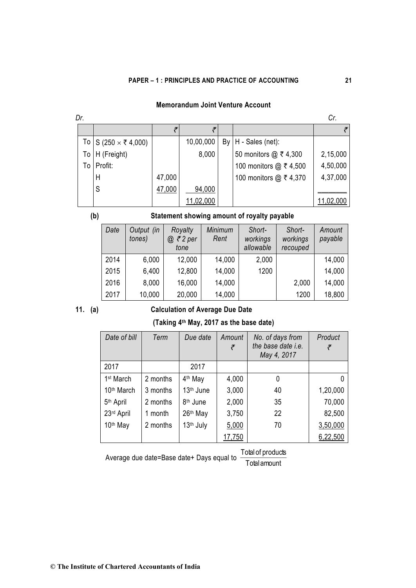| Dr. |                             |        |           |  |                        |           |  |
|-----|-----------------------------|--------|-----------|--|------------------------|-----------|--|
|     |                             |        |           |  |                        |           |  |
|     | To S (250 $\times$ ₹ 4,000) |        | 10,00,000 |  | $By H - Sales (net):$  |           |  |
|     | To H (Freight)              |        | 8,000     |  | 50 monitors @ ₹ 4,300  | 2,15,000  |  |
|     | To   Profit:                |        |           |  | 100 monitors @ ₹ 4,500 | 4,50,000  |  |
|     | H                           | 47,000 |           |  | 100 monitors @ ₹ 4,370 | 4,37,000  |  |
|     | S                           | 47,000 | 94,000    |  |                        |           |  |
|     |                             |        | 11,02,000 |  |                        | 11,02,000 |  |

## **(b) Statement showing amount of royalty payable**

| Date | Output (in<br>tones) | Royalty<br>@ ₹2 per<br>tone | <b>Minimum</b><br>Rent | Short-<br>workings<br>allowable | Short-<br>workings<br>recouped | Amount<br>payable |
|------|----------------------|-----------------------------|------------------------|---------------------------------|--------------------------------|-------------------|
| 2014 | 6,000                | 12,000                      | 14,000                 | 2,000                           |                                | 14,000            |
| 2015 | 6,400                | 12,800                      | 14,000                 | 1200                            |                                | 14,000            |
| 2016 | 8,000                | 16,000                      | 14,000                 |                                 | 2,000                          | 14,000            |
| 2017 | 10,000               | 20,000                      | 14,000                 |                                 | 1200                           | 18,800            |

## **11. (a) Calculation of Average Due Date**

## **(Taking 4th May, 2017 as the base date)**

| Date of bill           | Term     | Due date              | Amount<br>₹ | No. of days from<br>the base date i.e.<br>May 4, 2017 | Product  |
|------------------------|----------|-----------------------|-------------|-------------------------------------------------------|----------|
| 2017                   |          | 2017                  |             |                                                       |          |
| 1 <sup>st</sup> March  | 2 months | 4 <sup>th</sup> May   | 4,000       | 0                                                     |          |
| 10 <sup>th</sup> March | 3 months | 13 <sup>th</sup> June | 3,000       | 40                                                    | 1,20,000 |
| 5 <sup>th</sup> April  | 2 months | 8 <sup>th</sup> June  | 2,000       | 35                                                    | 70,000   |
| 23rd April             | 1 month  | 26 <sup>th</sup> May  | 3,750       | 22                                                    | 82,500   |
| 10 <sup>th</sup> May   | 2 months | 13 <sup>th</sup> July | 5,000       | 70                                                    | 3,50,000 |
|                        |          |                       | 17,750      |                                                       | 6,22,500 |

Average due date=Base date+ Days equal to Total amount

Total of products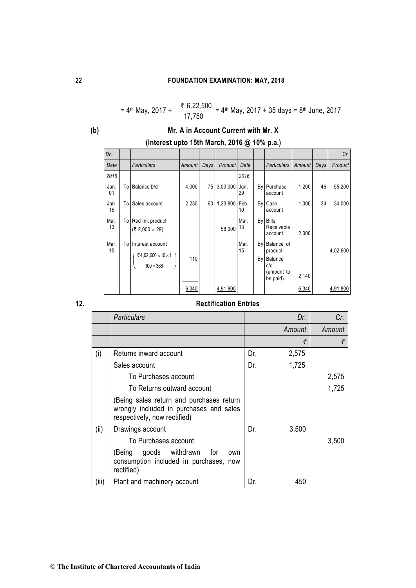$$
= 4^{\text{th}} \text{ May, } 2017 + \frac{\$6,22,500}{17,750} = 4^{\text{th}} \text{ May, } 2017 + 35 \text{ days} = 8^{\text{th}} \text{ June, } 2017
$$

## **(b) Mr. A in Account Current with Mr. X**

| Dr.        |    |                                                                             |        |      |                |            |    |                                                                      |        |      | Cr.      |
|------------|----|-----------------------------------------------------------------------------|--------|------|----------------|------------|----|----------------------------------------------------------------------|--------|------|----------|
| Date       |    | <b>Particulars</b>                                                          | Amount | Days | <b>Product</b> | Date       |    | <b>Particulars</b>                                                   | Amount | Days | Product  |
| 2016       |    |                                                                             |        |      |                | 2016       |    |                                                                      |        |      |          |
| Jan.<br>01 | To | Balance b/d                                                                 | 4,000  | 75   | 3,00,000       | Jan.<br>29 |    | By Purchase<br>account                                               | 1,200  | 46   | 55,200   |
| Jan.<br>15 | To | Sales account                                                               | 2,230  | 60   | 1,33,800       | Feb.<br>10 |    | By Cash<br>account                                                   | 1,000  | 34   | 34,000   |
| Mar.<br>13 |    | To Red Ink product<br>(₹ 2,000 $\times$ 29)                                 |        |      | 58,000         | Mar.<br>13 |    | By Bills<br>Receivable<br>account                                    | 2,000  |      |          |
| Mar.<br>15 |    | To Interest account<br>₹4,02,600 $\times$ 10 $\times$ 1<br>$100 \times 366$ | 110    |      |                | Mar.<br>15 | By | By Balance of<br>product<br>Balance<br>c/d<br>(amount to<br>be paid) | 2,140  |      | 4,02,600 |
|            |    |                                                                             | 6,340  |      | 4,91,800       |            |    |                                                                      | 6,340  |      | 4,91,800 |

## **12. Rectification Entries**

|       | <b>Particulars</b>                                                                                                 |     | Dr.    | Cr.    |
|-------|--------------------------------------------------------------------------------------------------------------------|-----|--------|--------|
|       |                                                                                                                    |     | Amount | Amount |
|       |                                                                                                                    |     | ₹      | ₹      |
| (i)   | Returns inward account                                                                                             | Dr. | 2,575  |        |
|       | Sales account                                                                                                      | Dr. | 1,725  |        |
|       | To Purchases account                                                                                               |     |        | 2,575  |
|       | To Returns outward account                                                                                         |     |        | 1,725  |
|       | Being sales return and purchases return<br>wrongly included in purchases and sales<br>respectively, now rectified) |     |        |        |
| (ii)  | Drawings account                                                                                                   | Dr. | 3,500  |        |
|       | To Purchases account                                                                                               |     |        | 3,500  |
|       | goods withdrawn<br>(Being<br>for<br>own<br>consumption included in purchases, now<br>rectified)                    |     |        |        |
| (iii) | Plant and machinery account                                                                                        | Dr. | 450    |        |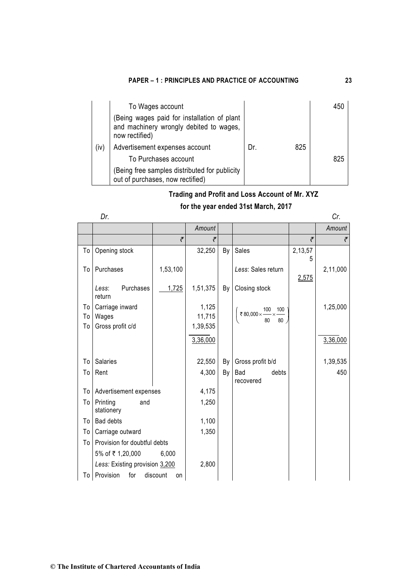|      | To Wages account                                                                                         |     |     | 450 |
|------|----------------------------------------------------------------------------------------------------------|-----|-----|-----|
|      | (Being wages paid for installation of plant<br>and machinery wrongly debited to wages,<br>now rectified) |     |     |     |
| (iv) | Advertisement expenses account                                                                           | Dr. | 825 |     |
|      | To Purchases account                                                                                     |     |     | 825 |
|      | Being free samples distributed for publicity<br>out of purchases, now rectified)                         |     |     |     |

## **Trading and Profit and Loss Account of Mr. XYZ**

## **for the year ended 31st March, 2017**

|              | × |
|--------------|---|
| I<br>I<br>۰, |   |

|    | Dr.                            |                |          |    |                                             |            | Cr.      |
|----|--------------------------------|----------------|----------|----|---------------------------------------------|------------|----------|
|    |                                |                | Amount   |    |                                             |            | Amount   |
|    |                                | ₹              | ₹        |    |                                             | ₹          | ₹        |
| To | Opening stock                  |                | 32,250   | By | Sales                                       | 2,13,57    |          |
| To | Purchases                      | 1,53,100       |          |    | Less: Sales return                          | 5<br>2,575 | 2,11,000 |
|    | Purchases<br>Less:<br>return   | 1,725          | 1,51,375 | By | Closing stock                               |            |          |
| To | Carriage inward                |                | 1,125    |    | $\frac{100}{2} \times \frac{100}{2}$<br>100 |            | 1,25,000 |
| To | Wages                          |                | 11,715   |    | ₹80,000×<br>80<br>80                        |            |          |
| To | Gross profit c/d               |                | 1,39,535 |    |                                             |            |          |
|    |                                |                | 3,36,000 |    |                                             |            | 3,36,000 |
| To | <b>Salaries</b>                |                | 22,550   | By | Gross profit b/d                            |            | 1,39,535 |
| To | Rent                           |                | 4,300    | By | debts<br><b>Bad</b><br>recovered            |            | 450      |
| To | Advertisement expenses         |                | 4,175    |    |                                             |            |          |
| To | Printing<br>and<br>stationery  |                | 1,250    |    |                                             |            |          |
| To | <b>Bad debts</b>               |                | 1,100    |    |                                             |            |          |
| To | Carriage outward               |                | 1,350    |    |                                             |            |          |
| To | Provision for doubtful debts   |                |          |    |                                             |            |          |
|    | 5% of ₹1,20,000                | 6,000          |          |    |                                             |            |          |
|    | Less: Existing provision 3,200 |                | 2,800    |    |                                             |            |          |
|    | To Provision<br>for            | discount<br>on |          |    |                                             |            |          |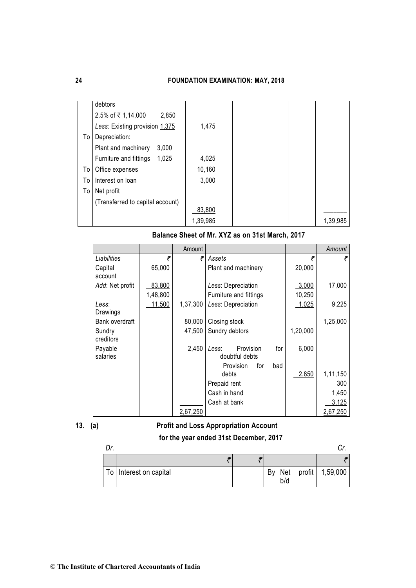|    | debtors                          |          |  |  |          |
|----|----------------------------------|----------|--|--|----------|
|    | 2.5% of ₹1,14,000<br>2,850       |          |  |  |          |
|    | Less: Existing provision 1,375   | 1,475    |  |  |          |
| To | Depreciation:                    |          |  |  |          |
|    | Plant and machinery<br>3,000     |          |  |  |          |
|    | Furniture and fittings<br>1,025  | 4,025    |  |  |          |
| To | Office expenses                  | 10,160   |  |  |          |
| To | Interest on loan                 | 3,000    |  |  |          |
| To | Net profit                       |          |  |  |          |
|    | (Transferred to capital account) |          |  |  |          |
|    |                                  | 83,800   |  |  |          |
|    |                                  | 1,39,985 |  |  | 1.39.985 |

**Balance Sheet of Mr. XYZ as on 31st March, 2017**

|                     |          | Amount   |                                      |     |          | Amount   |
|---------------------|----------|----------|--------------------------------------|-----|----------|----------|
| Liabilities         | ₹        | ₹        | Assets                               |     | ₹        | ₹        |
| Capital             | 65,000   |          | Plant and machinery                  |     | 20,000   |          |
| account             |          |          |                                      |     |          |          |
| Add: Net profit     | 83,800   |          | Less: Depreciation                   |     | 3,000    | 17,000   |
|                     | 1,48,800 |          | Furniture and fittings               |     | 10,250   |          |
| Less:               | 11,500   | 1,37,300 | Less: Depreciation                   |     | 1,025    | 9,225    |
| Drawings            |          |          |                                      |     |          |          |
| Bank overdraft      |          | 80,000   | Closing stock                        |     |          | 1,25,000 |
| Sundry              |          | 47,500   | Sundry debtors                       |     | 1,20,000 |          |
| creditors           |          |          |                                      |     |          |          |
| Payable<br>salaries |          | 2,450    | Provision<br>Less:<br>doubtful debts | for | 6,000    |          |
|                     |          |          | Provision<br>for<br>bad              |     |          |          |
|                     |          |          | debts                                |     | 2,850    | 1,11,150 |
|                     |          |          | Prepaid rent                         |     |          | 300      |
|                     |          |          | Cash in hand                         |     |          | 1,450    |
|                     |          |          | Cash at bank                         |     |          | 3,125    |
|                     |          | 2,67,250 |                                      |     |          | 2,67,250 |

# **13. (a) Profit and Loss Appropriation Account**

**for the year ended 31st December, 2017**

| To   Interest on capital |  | By Net<br>b/d | profit 1,59,000 |
|--------------------------|--|---------------|-----------------|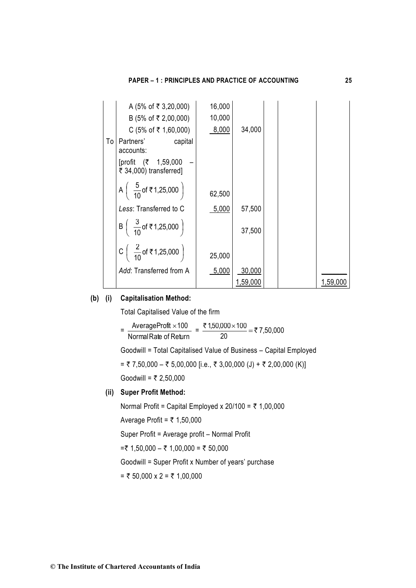|    | A (5% of ₹ 3,20,000)                                        | 16,000 |          |  |          |
|----|-------------------------------------------------------------|--------|----------|--|----------|
|    | B (5% of ₹ 2,00,000)                                        | 10,000 |          |  |          |
|    | $C$ (5% of ₹ 1,60,000)                                      | 8,000  | 34,000   |  |          |
| To | Partners'<br>capital<br>accounts:                           |        |          |  |          |
|    | [profit (₹ 1,59,000<br>₹ 34,000) transferred]               |        |          |  |          |
|    | A $\begin{pmatrix} 5 \\ 10 \end{pmatrix}$ of ₹1,25,000      | 62,500 |          |  |          |
|    | Less: Transferred to C                                      | 5,000  | 57,500   |  |          |
|    | B $\left(\begin{array}{c} 3 \\ \frac{1}{10}$ of ₹1,25,000   |        | 37,500   |  |          |
|    | C $\left(\begin{array}{c} 2 \\ 10 \end{array}$ of ₹1,25,000 | 25,000 |          |  |          |
|    | Add: Transferred from A                                     | 5,000  | 30,000   |  |          |
|    |                                                             |        | 1,59,000 |  | 1,59,000 |

## **(b) (i) Capitalisation Method:**

Total Capitalised Value of the firm

 $=$   $\frac{1}{\text{Normal Rate of Return}}$  Profit Average 100 = 7,50,000 20 <u>₹ 1,50,000 $\times$ 100</u>  $=$  ₹ ×

Goodwill = Total Capitalised Value of Business – Capital Employed

 $=$  ₹ 7,50,000  $-$  ₹ 5,00,000 [i.e., ₹ 3,00,000 (J) + ₹ 2,00,000 (K)]

Goodwill =  $\bar{\tau}$  2,50,000

### **(ii) Super Profit Method:**

Normal Profit = Capital Employed x  $20/100 = ₹ 1,00,000$ 

Average Profit =  $\overline{z}$  1,50,000

Super Profit = Average profit – Normal Profit

=₹ 1,50,000 – ₹ 1,00,000 = ₹ 50,000

Goodwill = Super Profit x Number of years' purchase

= ₹ 50,000 x 2 = ₹ 1,00,000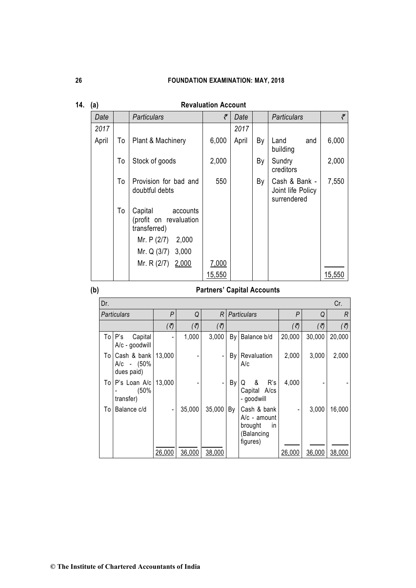| Date  |    | <b>Particulars</b>                                            | ₹      | Date  |    | <b>Particulars</b>                                | ₹      |
|-------|----|---------------------------------------------------------------|--------|-------|----|---------------------------------------------------|--------|
| 2017  |    |                                                               |        | 2017  |    |                                                   |        |
| April | To | Plant & Machinery                                             | 6,000  | April | By | Land<br>and<br>building                           | 6,000  |
|       | To | Stock of goods                                                | 2,000  |       | By | Sundry<br>creditors                               | 2,000  |
|       | To | Provision for bad and<br>doubtful debts                       | 550    |       | By | Cash & Bank -<br>Joint life Policy<br>surrendered | 7,550  |
|       | To | Capital<br>accounts<br>(profit on revaluation<br>transferred) |        |       |    |                                                   |        |
|       |    | Mr. P (2/7)<br>2,000                                          |        |       |    |                                                   |        |
|       |    | Mr. Q (3/7) 3,000                                             |        |       |    |                                                   |        |
|       |    | Mr. R (2/7) 2,000                                             | 7,000  |       |    |                                                   |        |
|       |    |                                                               | 15,550 |       |    |                                                   | 15,550 |

## **14. (a) Revaluation Account**

## **(b) Partners' Capital Accounts**

| Dr.                | Cr.                                     |        |        |                        |    |                                                                               |        |             |             |  |  |
|--------------------|-----------------------------------------|--------|--------|------------------------|----|-------------------------------------------------------------------------------|--------|-------------|-------------|--|--|
| <b>Particulars</b> |                                         | P      | Q      | R                      |    | <b>Particulars</b>                                                            | P      | Q           | R           |  |  |
|                    |                                         | (7)    | (7)    | $\left(\vec{z}\right)$ |    |                                                                               | (7)    | $(\vec{z})$ | $(\vec{v})$ |  |  |
| To                 | P's<br>Capital<br>A/c - goodwill        |        | 1,000  | 3,000                  | By | Balance b/d                                                                   | 20,000 | 30,000      | 20,000      |  |  |
| To                 | Cash & bank<br>A/c - (50%<br>dues paid) | 13,000 |        |                        | By | Revaluation<br>A/c                                                            | 2,000  | 3,000       | 2,000       |  |  |
| To                 | P's Loan A/c<br>(50%<br>transfer)       | 13,000 |        |                        | By | R's<br>&<br>Q<br>Capital A/cs<br>- goodwill                                   | 4,000  |             |             |  |  |
| Т٥                 | Balance c/d                             |        | 35,000 | 35,000                 | By | Cash & bank<br>A/c - amount<br>brought<br><i>in</i><br>(Balancing<br>figures) |        | 3,000       | 16,000      |  |  |
|                    |                                         | 26,000 | 36,000 | 38,000                 |    |                                                                               | 26,000 | 36,000      | 38,000      |  |  |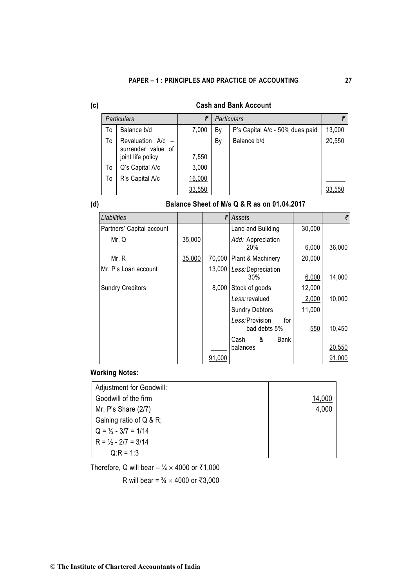| ×,      |  |
|---------|--|
|         |  |
| ×<br>۰. |  |
| ×<br>۰. |  |

## **(c) Cash and Bank Account**

|    | <b>Particulars</b>                                             | ₹      |                                       | <b>Particulars</b> |        |  |
|----|----------------------------------------------------------------|--------|---------------------------------------|--------------------|--------|--|
| Т٥ | Balance b/d                                                    | 7,000  | P's Capital A/c - 50% dues paid<br>By |                    | 13,000 |  |
| Т٥ | Revaluation $A/c$ –<br>surrender value of<br>joint life policy | 7,550  | By                                    | Balance b/d        | 20,550 |  |
| To | Q's Capital A/c                                                | 3,000  |                                       |                    |        |  |
| To | R's Capital A/c                                                | 16,000 |                                       |                    |        |  |
|    |                                                                | 33,550 |                                       |                    | 33,550 |  |

## **(d) Balance Sheet of M/s Q & R as on 01.04.2017**

| Liabilities               |                                    | ₹      | Assets                                 |        | ₹      |
|---------------------------|------------------------------------|--------|----------------------------------------|--------|--------|
| Partners' Capital account |                                    |        | Land and Building                      | 30,000 |        |
| Mr. Q                     | 35,000<br>Add: Appreciation<br>20% |        |                                        | 6,000  | 36,000 |
| Mr. R                     | 35,000                             | 70,000 | Plant & Machinery                      | 20,000 |        |
| Mr. P's Loan account      |                                    | 13,000 | Less: Depreciation<br>30%              | 6,000  | 14,000 |
| <b>Sundry Creditors</b>   |                                    | 8,000  | Stock of goods                         | 12,000 |        |
|                           |                                    |        | Less:revalued                          | 2,000  | 10,000 |
|                           |                                    |        | <b>Sundry Debtors</b>                  | 11,000 |        |
|                           |                                    |        | Less: Provision<br>for<br>bad debts 5% | 550    | 10,450 |
|                           |                                    |        | &<br>Bank<br>Cash                      |        |        |
|                           |                                    |        | balances                               |        | 20,550 |
|                           |                                    | 91,000 |                                        |        | 91,000 |

## **Working Notes:**

| Adjustment for Goodwill:                       |        |
|------------------------------------------------|--------|
| Goodwill of the firm                           | 14.000 |
| Mr. P's Share $(2/7)$                          | 4,000  |
| Gaining ratio of Q & R;                        |        |
| $Q = \frac{1}{2} - \frac{3}{7} = \frac{1}{14}$ |        |
| $R = \frac{1}{2} - \frac{2}{7} = \frac{3}{14}$ |        |
| $Q:R = 1:3$                                    |        |

Therefore, Q will bear –  $\frac{1}{4} \times 4000$  or ₹1,000

R will bear =  $\frac{3}{4}$  × 4000 or ₹3,000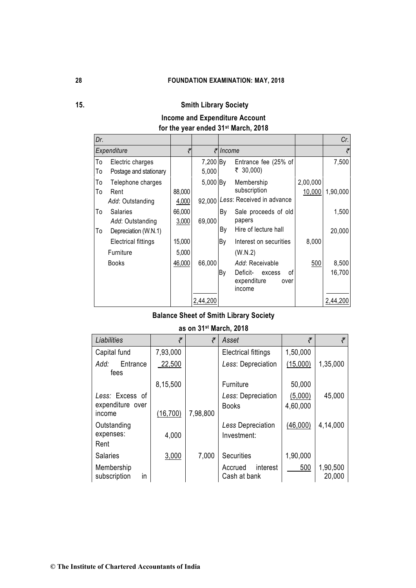## **15. Smith Library Society**

# **Income and Expenditure Account**

## **for the year ended 31st March, 2018**

| Dr.      |                                                             |                 |                    |          |                                                                              |                    | Cr.             |
|----------|-------------------------------------------------------------|-----------------|--------------------|----------|------------------------------------------------------------------------------|--------------------|-----------------|
|          | Expenditure                                                 | ₹               |                    | ₹ Income |                                                                              |                    | ₹               |
| To<br>To | Electric charges<br>Postage and stationary                  |                 | 7,200 By<br>5,000  |          | Entrance fee (25% of<br>₹ 30,000)                                            |                    | 7,500           |
| To<br>To | Telephone charges<br>Rent<br>Add: Outstanding               | 88,000<br>4,000 | 5,000 By<br>92,000 |          | Membership<br>subscription<br>Less: Received in advance                      | 2,00,000<br>10,000 | 1,90,000        |
| To<br>To | <b>Salaries</b><br>Add: Outstanding<br>Depreciation (W.N.1) | 66,000<br>3,000 | 69,000             | By<br>By | Sale proceeds of old<br>papers<br>Hire of lecture hall                       |                    | 1,500<br>20,000 |
|          | Electrical fittings<br>Furniture                            | 15,000<br>5,000 |                    | By       | Interest on securities<br>(W.N.2)                                            | 8,000              |                 |
|          | <b>Books</b>                                                | 46,000          | 66,000             | By       | Add: Receivable<br>Deficit-<br>οf<br>excess<br>expenditure<br>over<br>income | 500                | 8,500<br>16,700 |
|          |                                                             |                 | 2,44,200           |          |                                                                              |                    | 2,44,200        |

## **Balance Sheet of Smith Library Society**

## **as on 31st March, 2018**

| Liabilities                         | ₹         | ₹        | Asset                               | ₹                   |                    |
|-------------------------------------|-----------|----------|-------------------------------------|---------------------|--------------------|
| Capital fund                        | 7,93,000  |          | <b>Electrical fittings</b>          | 1,50,000            |                    |
| Entrance<br>Add:<br>fees            | 22,500    |          | Less: Depreciation                  | (15,000)            | 1,35,000           |
|                                     | 8,15,500  |          | Furniture                           | 50,000              |                    |
| Less: Excess of<br>expenditure over |           |          | Less: Depreciation<br><b>Books</b>  | (5,000)<br>4,60,000 | 45,000             |
| income                              | (16, 700) | 7,98,800 |                                     |                     |                    |
| Outstanding<br>expenses:<br>Rent    | 4,000     |          | Less Depreciation<br>Investment:    | (46,000)            | 4,14,000           |
| <b>Salaries</b>                     | 3,000     | 7,000    | <b>Securities</b>                   | 1,90,000            |                    |
| Membership<br>in<br>subscription    |           |          | interest<br>Accrued<br>Cash at bank | 500                 | 1,90,500<br>20,000 |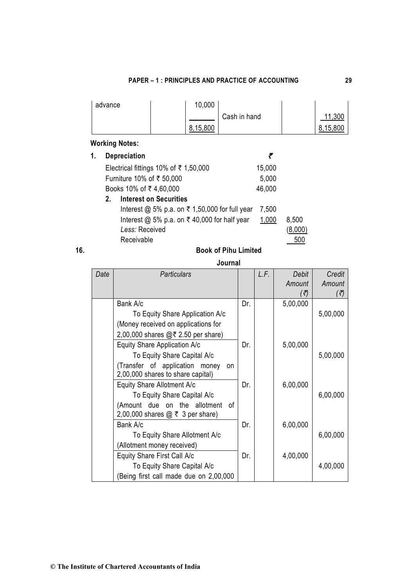| <b>PAPER – 1 : PRINCIPLES AND PRACTICE OF ACCOUNTING</b> |  |
|----------------------------------------------------------|--|
|                                                          |  |

| advance | 10,000       |              |          |  |
|---------|--------------|--------------|----------|--|
|         |              | Cash in hand | ,300     |  |
|         | 15.800<br>8. |              | 8.15.800 |  |

# **Working Notes:**

| 1. |    | <b>Depreciation</b>                                       |        |       |
|----|----|-----------------------------------------------------------|--------|-------|
|    |    | Electrical fittings 10% of ₹ 1,50,000                     | 15,000 |       |
|    |    | Furniture 10% of ₹ 50,000                                 | 5,000  |       |
|    |    | Books 10% of ₹4,60,000                                    | 46,000 |       |
|    | 2. | <b>Interest on Securities</b>                             |        |       |
|    |    | Interest @ 5% p.a. on $\bar{\tau}$ 1,50,000 for full year | 7,500  |       |
|    |    | Interest @ 5% p.a. on $\bar{\tau}$ 40,000 for half year   | 1,000  | 8,500 |
|    |    | Less: Received                                            |        |       |
|    |    | Receivable                                                |        | 500   |

| × |  |
|---|--|
|   |  |
|   |  |
|   |  |
|   |  |
|   |  |
|   |  |
|   |  |
|   |  |
|   |  |
|   |  |
|   |  |
|   |  |
|   |  |

## **16. Book of Pihu Limited**

## **Journal**

| Date | <b>Particulars</b>                    |     | L.F. | Debit    | Credit   |
|------|---------------------------------------|-----|------|----------|----------|
|      |                                       |     |      | Amount   | Amount   |
|      |                                       |     |      | (₹)      | (₹)      |
|      | Bank A/c                              | Dr. |      | 5,00,000 |          |
|      | To Equity Share Application A/c       |     |      |          | 5,00,000 |
|      | (Money received on applications for   |     |      |          |          |
|      | 2,00,000 shares $@72.50$ per share)   |     |      |          |          |
|      | Equity Share Application A/c          | Dr. |      | 5,00,000 |          |
|      | To Equity Share Capital A/c           |     |      |          | 5,00,000 |
|      | (Transfer of application money<br>on  |     |      |          |          |
|      | 2,00,000 shares to share capital)     |     |      |          |          |
|      | Equity Share Allotment A/c            | Dr. |      | 6,00,000 |          |
|      | To Equity Share Capital A/c           |     |      |          | 6,00,000 |
|      | (Amount due on the allotment<br>0f    |     |      |          |          |
|      | 2,00,000 shares $@ \t3$ per share)    |     |      |          |          |
|      | Bank A/c                              | Dr. |      | 6,00,000 |          |
|      | To Equity Share Allotment A/c         |     |      |          | 6,00,000 |
|      | (Allotment money received)            |     |      |          |          |
|      | Equity Share First Call A/c           | Dr. |      | 4,00,000 |          |
|      | To Equity Share Capital A/c           |     |      |          | 4,00,000 |
|      | Being first call made due on 2,00,000 |     |      |          |          |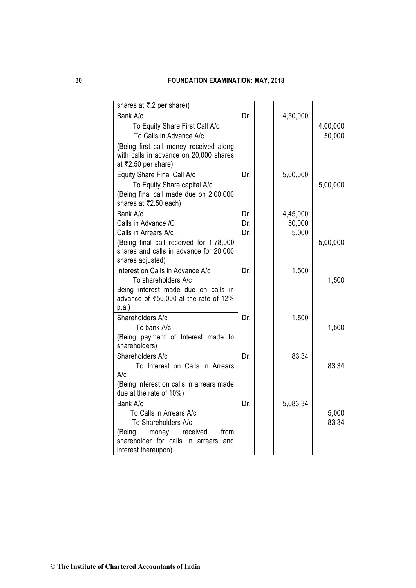| shares at ₹.2 per share))                                                                                                                    |                   |                             |                    |
|----------------------------------------------------------------------------------------------------------------------------------------------|-------------------|-----------------------------|--------------------|
| Bank A/c<br>To Equity Share First Call A/c<br>To Calls in Advance A/c                                                                        | Dr.               | 4,50,000                    | 4,00,000<br>50,000 |
| (Being first call money received along<br>with calls in advance on 20,000 shares<br>at ₹2.50 per share)                                      |                   |                             |                    |
| Equity Share Final Call A/c<br>To Equity Share capital A/c<br>(Being final call made due on 2,00,000<br>shares at ₹2.50 each)                | Dr.               | 5,00,000                    | 5,00,000           |
| Bank A/c<br>Calls in Advance /C<br>Calls in Arrears A/c<br>(Being final call received for 1,78,000<br>shares and calls in advance for 20,000 | Dr.<br>Dr.<br>Dr. | 4,45,000<br>50,000<br>5,000 | 5,00,000           |
| shares adjusted)<br>Interest on Calls in Advance A/c<br>To shareholders A/c                                                                  | Dr.               | 1,500                       | 1,500              |
| Being interest made due on calls in<br>advance of ₹50,000 at the rate of 12%<br>$p.a.$ )                                                     |                   |                             |                    |
| Shareholders A/c<br>To bank A/c<br>(Being payment of Interest made to                                                                        | Dr.               | 1,500                       | 1,500              |
| shareholders)<br>Shareholders A/c<br>To Interest on Calls in Arrears                                                                         | Dr.               | 83.34                       | 83.34              |
| A/c<br>(Being interest on calls in arrears made<br>due at the rate of 10%)                                                                   |                   |                             |                    |
| Bank A/c<br>To Calls in Arrears A/c<br>To Shareholders A/c<br>received<br>(Being<br>money<br>from                                            | Dr.               | 5,083.34                    | 5,000<br>83.34     |
| shareholder for calls in arrears and<br>interest thereupon)                                                                                  |                   |                             |                    |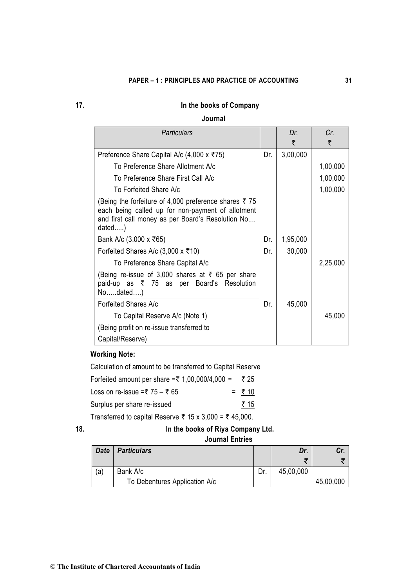## **17. In the books of Company**

## **Journal**

| Particulars                                                                                                                                                              |     | Dr.<br>₹ | Cr.<br>₹ |
|--------------------------------------------------------------------------------------------------------------------------------------------------------------------------|-----|----------|----------|
| Preference Share Capital A/c (4,000 x ₹75)                                                                                                                               | Dr. | 3,00,000 |          |
| To Preference Share Allotment A/c                                                                                                                                        |     |          | 1,00,000 |
| To Preference Share First Call A/c                                                                                                                                       |     |          | 1,00,000 |
| To Forfeited Share A/c                                                                                                                                                   |     |          | 1,00,000 |
| (Being the forfeiture of 4,000 preference shares ₹75<br>each being called up for non-payment of allotment<br>and first call money as per Board's Resolution No<br>dated) |     |          |          |
| Bank A/c (3,000 x ₹65)                                                                                                                                                   | Dr. | 1,95,000 |          |
| Forfeited Shares A/c $(3,000 \times \overline{5}10)$                                                                                                                     | Dr. | 30,000   |          |
| To Preference Share Capital A/c                                                                                                                                          |     |          | 2,25,000 |
| (Being re-issue of 3,000 shares at ₹ 65 per share<br>paid-up as ₹ 75 as per Board's Resolution<br>$No$ dated $)$                                                         |     |          |          |
| Forfeited Shares A/c                                                                                                                                                     | Dr. | 45,000   |          |
| To Capital Reserve A/c (Note 1)                                                                                                                                          |     |          | 45,000   |
| (Being profit on re-issue transferred to                                                                                                                                 |     |          |          |
| Capital/Reserve)                                                                                                                                                         |     |          |          |

## **Working Note:**

| Calculation of amount to be transferred to Capital Reserve |         |
|------------------------------------------------------------|---------|
| Forfeited amount per share =₹ 1,00,000/4,000 = ₹ 25        |         |
| Loss on re-issue =₹ 75 – ₹ 65                              | $= 710$ |
| Surplus per share re-issued                                | ₹ 15    |

Transferred to capital Reserve  $\bar{\tau}$  15 x 3,000 =  $\bar{\tau}$  45,000.

| ۰. | ٠<br>٧<br>٠<br>٦ |  |
|----|------------------|--|
|    | ×<br>۰.          |  |

## **18. In the books of Riya Company Ltd.**

## **Journal Entries**

| <b>Date</b> | <b>Particulars</b>            |     | Dr.       | Cr.       |
|-------------|-------------------------------|-----|-----------|-----------|
|             |                               |     | 子         |           |
| (a)         | Bank A/c                      | Dr. | 45,00,000 |           |
|             | To Debentures Application A/c |     |           | 45,00,000 |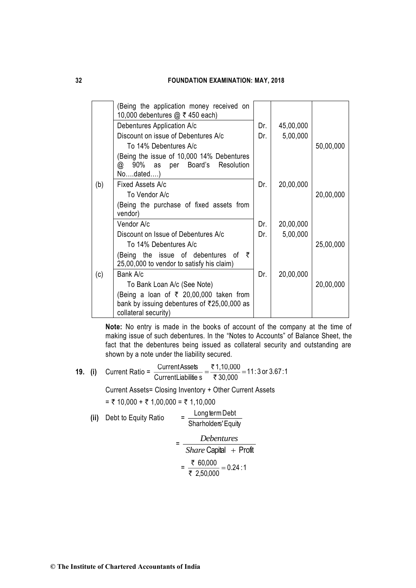|     | Being the application money received on<br>10,000 debentures @ ₹ 450 each)                 |     |           |           |
|-----|--------------------------------------------------------------------------------------------|-----|-----------|-----------|
|     | Debentures Application A/c                                                                 | Dr. | 45,00,000 |           |
|     | Discount on issue of Debentures A/c                                                        | Dr. | 5,00,000  |           |
|     | To 14% Debentures A/c                                                                      |     |           | 50,00,000 |
|     | Being the issue of 10,000 14% Debentures<br>90% as per Board's Resolution<br>@<br>Nodated  |     |           |           |
| (b) | Fixed Assets A/c                                                                           | Dr. | 20,00,000 |           |
|     | To Vendor A/c                                                                              |     |           | 20,00,000 |
|     | (Being the purchase of fixed assets from<br>vendor)                                        |     |           |           |
|     | Vendor A/c                                                                                 | Dr. | 20,00,000 |           |
|     | Discount on Issue of Debentures A/c                                                        | Dr. | 5,00,000  |           |
|     | To 14% Debentures A/c                                                                      |     |           | 25,00,000 |
|     | Being the issue of debentures of $\bar{\tau}$<br>25,00,000 to vendor to satisfy his claim) |     |           |           |
| (c) | Bank A/c                                                                                   | Dr. | 20,00,000 |           |
|     | To Bank Loan A/c (See Note)                                                                |     |           | 20,00,000 |
|     | (Being a loan of ₹ 20,00,000 taken from                                                    |     |           |           |
|     | bank by issuing debentures of ₹25,00,000 as<br>collateral security)                        |     |           |           |

**Note:** No entry is made in the books of account of the company at the time of making issue of such debentures. In the "Notes to Accounts" of Balance Sheet, the fact that the debentures being issued as collateral security and outstanding are shown by a note under the liability secured.

**19.** (i) Current Ratio =  $\frac{64164M \times 6666}{\text{Current Liabilities}} = \frac{(1,10,000)}{30,000} = 11:3 \text{ or } 3.67:1$  $1,10,000$ CurrentLiabilitie s CurrentAssets =  $\frac{\bar{\mathfrak{r}}~1,10,000}{\bar{\mathfrak{r}}~30.000}$  = ₹

Current Assets= Closing Inventory + Other Current Assets

 $= ₹ 10,000 + ₹ 1,00,000 = ₹ 1,10,000$ 

(ii) Debt to Equity Ratio 
$$
= \frac{\text{Long term Debt}}{\text{Sharholders' Equity}}
$$

$$
= \frac{Debentures}{Share Capital + Profit}
$$

$$
= \frac{\frac{1}{5}60,000}{\frac{1}{5}2,50,000} = 0.24:1
$$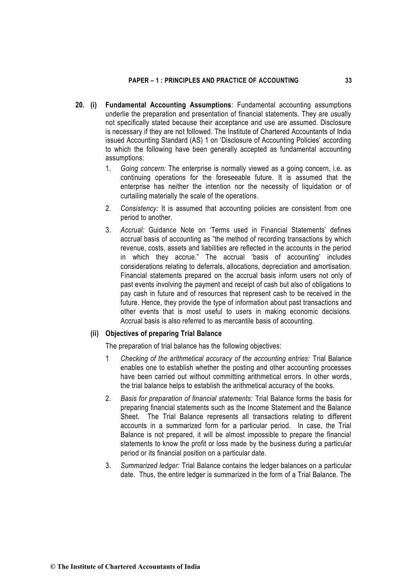- **20. (i) Fundamental Accounting Assumptions**: Fundamental accounting assumptions underlie the preparation and presentation of financial statements. They are usually not specifically stated because their acceptance and use are assumed. Disclosure is necessary if they are not followed. The Institute of Chartered Accountants of India issued Accounting Standard (AS) 1 on 'Disclosure of Accounting Policies' according to which the following have been generally accepted as fundamental accounting assumptions:
	- 1. *Going concern:* The enterprise is normally viewed as a going concern, i.e. as continuing operations for the foreseeable future. It is assumed that the enterprise has neither the intention nor the necessity of liquidation or of curtailing materially the scale of the operations.
	- 2. *Consistency:* It is assumed that accounting policies are consistent from one period to another.
	- 3. *Accrual:* Guidance Note on 'Terms used in Financial Statements' defines accrual basis of accounting as "the method of recording transactions by which revenue, costs, assets and liabilities are reflected in the accounts in the period in which they accrue." The accrual 'basis of accounting' includes considerations relating to deferrals, allocations, depreciation and amortisation. Financial statements prepared on the accrual basis inform users not only of past events involving the payment and receipt of cash but also of obligations to pay cash in future and of resources that represent cash to be received in the future. Hence, they provide the type of information about past transactions and other events that is most useful to users in making economic decisions. Accrual basis is also referred to as mercantile basis of accounting.

## **(ii) Objectives of preparing Trial Balance**

The preparation of trial balance has the following objectives:

- 1 *Checking of the arithmetical accuracy of the accounting entries:* Trial Balance enables one to establish whether the posting and other accounting processes have been carried out without committing arithmetical errors. In other words, the trial balance helps to establish the arithmetical accuracy of the books.
- 2. *Basis for preparation of financial statements:* Trial Balance forms the basis for preparing financial statements such as the Income Statement and the Balance Sheet. The Trial Balance represents all transactions relating to different accounts in a summarized form for a particular period. In case, the Trial Balance is not prepared, it will be almost impossible to prepare the financial statements to know the profit or loss made by the business during a particular period or its financial position on a particular date.
- 3. *Summarized ledger:* Trial Balance contains the ledger balances on a particular date. Thus, the entire ledger is summarized in the form of a Trial Balance. The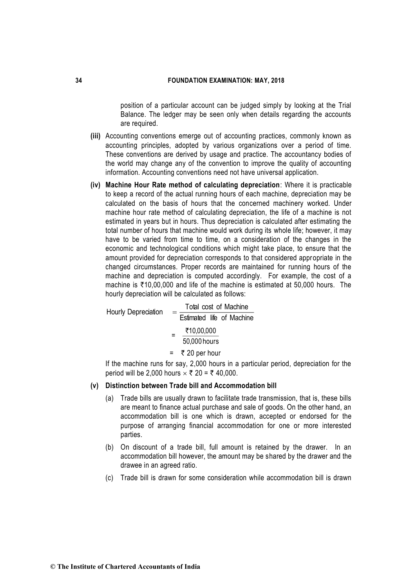position of a particular account can be judged simply by looking at the Trial Balance. The ledger may be seen only when details regarding the accounts are required.

- **(iii)** Accounting conventions emerge out of accounting practices, commonly known as accounting principles, adopted by various organizations over a period of time. These conventions are derived by usage and practice. The accountancy bodies of the world may change any of the convention to improve the quality of accounting information. Accounting conventions need not have universal application.
- **(iv) Machine Hour Rate method of calculating depreciation**: Where it is practicable to keep a record of the actual running hours of each machine, depreciation may be calculated on the basis of hours that the concerned machinery worked. Under machine hour rate method of calculating depreciation, the life of a machine is not estimated in years but in hours. Thus depreciation is calculated after estimating the total number of hours that machine would work during its whole life; however, it may have to be varied from time to time, on a consideration of the changes in the economic and technological conditions which might take place, to ensure that the amount provided for depreciation corresponds to that considered appropriate in the changed circumstances. Proper records are maintained for running hours of the machine and depreciation is computed accordingly. For example, the cost of a machine is  $\overline{510,00,000}$  and life of the machine is estimated at 50,000 hours. The hourly depreciation will be calculated as follows:

 $\begin{array}{rcl} \text{Hourly Depreciation} & = \displaystyle \frac{\text{Total cost of Machine}}{\text{Estimated life of Machine}} \end{array}$  $= \frac{10,00,000}{50,000 \text{ hours}}$ `10,00,000  $= 720$  per hour If the machine runs for say, 2,000 hours in a particular period, depreciation for the period will be 2,000 hours  $\times \bar{\tau}$  20 =  $\bar{\tau}$  40,000.

**(v) Distinction between Trade bill and Accommodation bill**

- (a) Trade bills are usually drawn to facilitate trade transmission, that is, these bills are meant to finance actual purchase and sale of goods. On the other hand, an accommodation bill is one which is drawn, accepted or endorsed for the purpose of arranging financial accommodation for one or more interested parties.
- (b) On discount of a trade bill, full amount is retained by the drawer. In an accommodation bill however, the amount may be shared by the drawer and the drawee in an agreed ratio.
- (c) Trade bill is drawn for some consideration while accommodation bill is drawn